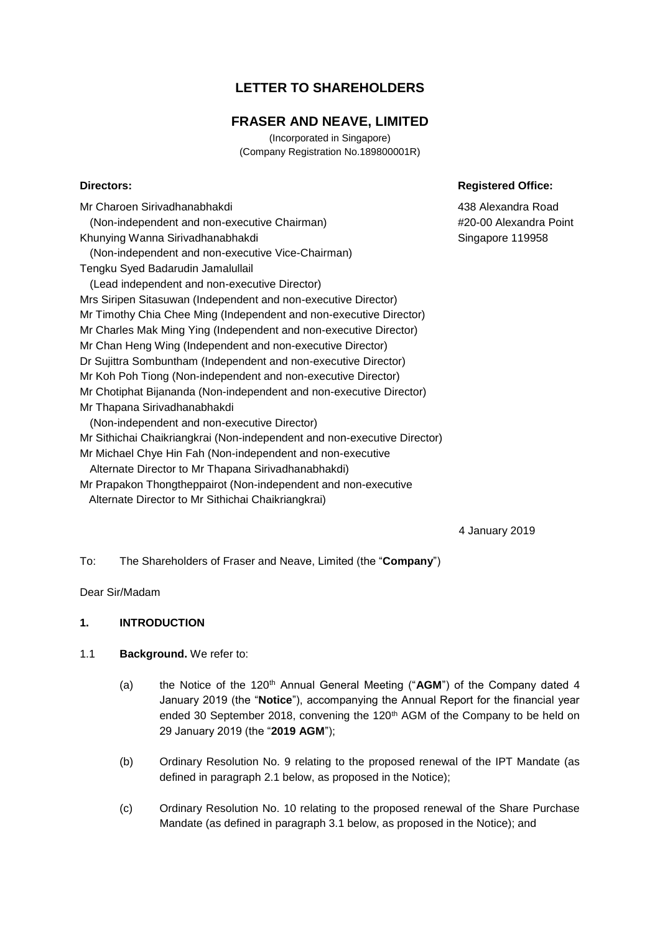# **LETTER TO SHAREHOLDERS**

# **FRASER AND NEAVE, LIMITED**

(Incorporated in Singapore) (Company Registration No.189800001R)

Mr Charoen Sirivadhanabhakdi (Non-independent and non-executive Chairman) Khunying Wanna Sirivadhanabhakdi (Non-independent and non-executive Vice-Chairman) Tengku Syed Badarudin Jamalullail (Lead independent and non-executive Director) Mrs Siripen Sitasuwan (Independent and non-executive Director) Mr Timothy Chia Chee Ming (Independent and non-executive Director) Mr Charles Mak Ming Ying (Independent and non-executive Director) Mr Chan Heng Wing (Independent and non-executive Director) Dr Sujittra Sombuntham (Independent and non-executive Director) Mr Koh Poh Tiong (Non-independent and non-executive Director) Mr Chotiphat Bijananda (Non-independent and non-executive Director) Mr Thapana Sirivadhanabhakdi (Non-independent and non-executive Director) Mr Sithichai Chaikriangkrai (Non-independent and non-executive Director) Mr Michael Chye Hin Fah (Non-independent and non-executive Alternate Director to Mr Thapana Sirivadhanabhakdi) Mr Prapakon Thongtheppairot (Non-independent and non-executive Alternate Director to Mr Sithichai Chaikriangkrai)

4 January 2019

To: The Shareholders of Fraser and Neave, Limited (the "**Company**")

Dear Sir/Madam

# **1. INTRODUCTION**

# 1.1 **Background.** We refer to:

- (a) the Notice of the 120<sup>th</sup> Annual General Meeting ("AGM") of the Company dated 4 January 2019 (the "**Notice**"), accompanying the Annual Report for the financial year ended 30 September 2018, convening the 120<sup>th</sup> AGM of the Company to be held on 29 January 2019 (the "**2019 AGM**");
- (b) Ordinary Resolution No. 9 relating to the proposed renewal of the IPT Mandate (as defined in paragraph 2.1 below, as proposed in the Notice);
- (c) Ordinary Resolution No. 10 relating to the proposed renewal of the Share Purchase Mandate (as defined in paragraph 3.1 below, as proposed in the Notice); and

## **Directors:** Registered Office:

438 Alexandra Road #20-00 Alexandra Point Singapore 119958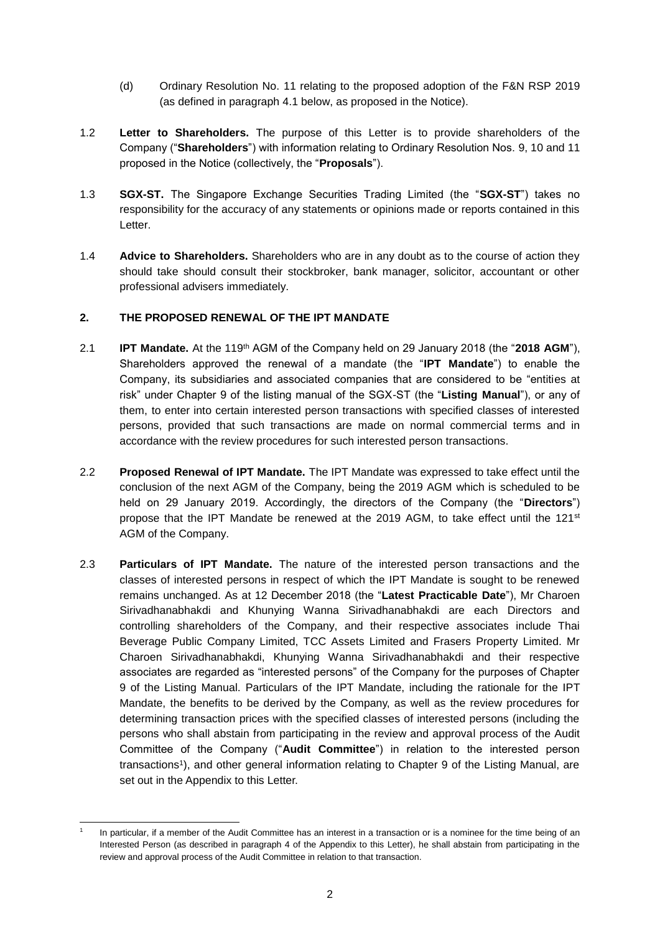- (d) Ordinary Resolution No. 11 relating to the proposed adoption of the F&N RSP 2019 (as defined in paragraph 4.1 below, as proposed in the Notice).
- 1.2 **Letter to Shareholders.** The purpose of this Letter is to provide shareholders of the Company ("**Shareholders**") with information relating to Ordinary Resolution Nos. 9, 10 and 11 proposed in the Notice (collectively, the "**Proposals**").
- 1.3 **SGX-ST.** The Singapore Exchange Securities Trading Limited (the "**SGX-ST**") takes no responsibility for the accuracy of any statements or opinions made or reports contained in this Letter.
- 1.4 **Advice to Shareholders.** Shareholders who are in any doubt as to the course of action they should take should consult their stockbroker, bank manager, solicitor, accountant or other professional advisers immediately.

# **2. THE PROPOSED RENEWAL OF THE IPT MANDATE**

- 2.1 **IPT Mandate.** At the 119th AGM of the Company held on 29 January 2018 (the "**2018 AGM**"), Shareholders approved the renewal of a mandate (the "**IPT Mandate**") to enable the Company, its subsidiaries and associated companies that are considered to be "entities at risk" under Chapter 9 of the listing manual of the SGX-ST (the "**Listing Manual**"), or any of them, to enter into certain interested person transactions with specified classes of interested persons, provided that such transactions are made on normal commercial terms and in accordance with the review procedures for such interested person transactions.
- 2.2 **Proposed Renewal of IPT Mandate.** The IPT Mandate was expressed to take effect until the conclusion of the next AGM of the Company, being the 2019 AGM which is scheduled to be held on 29 January 2019. Accordingly, the directors of the Company (the "**Directors**") propose that the IPT Mandate be renewed at the 2019 AGM, to take effect until the 121 $st$ AGM of the Company.
- 2.3 **Particulars of IPT Mandate.** The nature of the interested person transactions and the classes of interested persons in respect of which the IPT Mandate is sought to be renewed remains unchanged. As at 12 December 2018 (the "**Latest Practicable Date**"), Mr Charoen Sirivadhanabhakdi and Khunying Wanna Sirivadhanabhakdi are each Directors and controlling shareholders of the Company, and their respective associates include Thai Beverage Public Company Limited, TCC Assets Limited and Frasers Property Limited. Mr Charoen Sirivadhanabhakdi, Khunying Wanna Sirivadhanabhakdi and their respective associates are regarded as "interested persons" of the Company for the purposes of Chapter 9 of the Listing Manual. Particulars of the IPT Mandate, including the rationale for the IPT Mandate, the benefits to be derived by the Company, as well as the review procedures for determining transaction prices with the specified classes of interested persons (including the persons who shall abstain from participating in the review and approval process of the Audit Committee of the Company ("**Audit Committee**") in relation to the interested person transactions<sup>1</sup>), and other general information relating to Chapter 9 of the Listing Manual, are set out in the Appendix to this Letter.

<sup>-</sup>1 In particular, if a member of the Audit Committee has an interest in a transaction or is a nominee for the time being of an Interested Person (as described in paragraph 4 of the Appendix to this Letter), he shall abstain from participating in the review and approval process of the Audit Committee in relation to that transaction.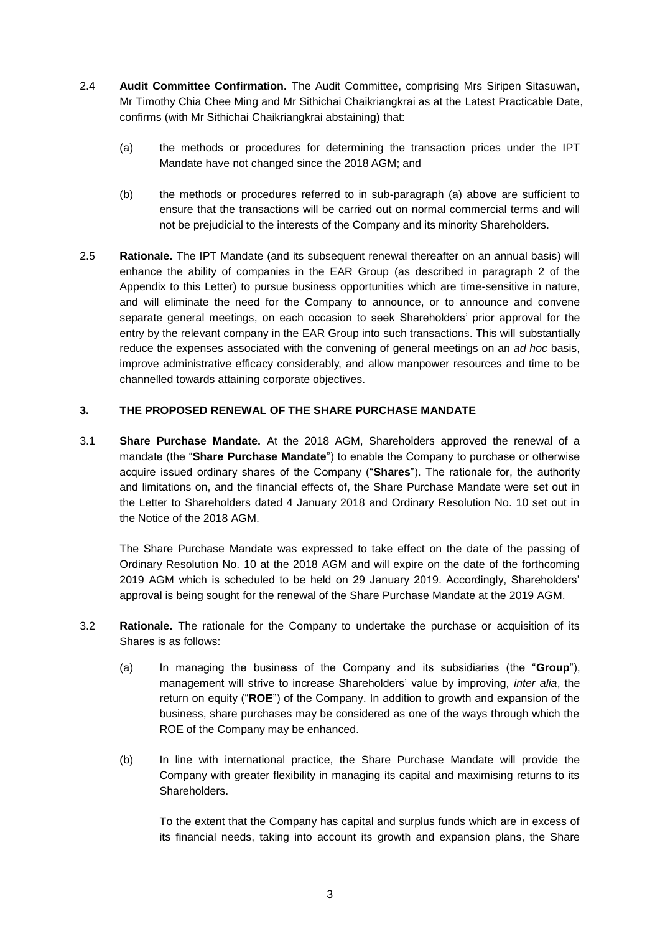- 2.4 **Audit Committee Confirmation.** The Audit Committee, comprising Mrs Siripen Sitasuwan, Mr Timothy Chia Chee Ming and Mr Sithichai Chaikriangkrai as at the Latest Practicable Date, confirms (with Mr Sithichai Chaikriangkrai abstaining) that:
	- (a) the methods or procedures for determining the transaction prices under the IPT Mandate have not changed since the 2018 AGM; and
	- (b) the methods or procedures referred to in sub-paragraph (a) above are sufficient to ensure that the transactions will be carried out on normal commercial terms and will not be prejudicial to the interests of the Company and its minority Shareholders.
- 2.5 **Rationale.** The IPT Mandate (and its subsequent renewal thereafter on an annual basis) will enhance the ability of companies in the EAR Group (as described in paragraph 2 of the Appendix to this Letter) to pursue business opportunities which are time-sensitive in nature, and will eliminate the need for the Company to announce, or to announce and convene separate general meetings, on each occasion to seek Shareholders' prior approval for the entry by the relevant company in the EAR Group into such transactions. This will substantially reduce the expenses associated with the convening of general meetings on an *ad hoc* basis, improve administrative efficacy considerably, and allow manpower resources and time to be channelled towards attaining corporate objectives.

# **3. THE PROPOSED RENEWAL OF THE SHARE PURCHASE MANDATE**

3.1 **Share Purchase Mandate.** At the 2018 AGM, Shareholders approved the renewal of a mandate (the "**Share Purchase Mandate**") to enable the Company to purchase or otherwise acquire issued ordinary shares of the Company ("**Shares**"). The rationale for, the authority and limitations on, and the financial effects of, the Share Purchase Mandate were set out in the Letter to Shareholders dated 4 January 2018 and Ordinary Resolution No. 10 set out in the Notice of the 2018 AGM.

The Share Purchase Mandate was expressed to take effect on the date of the passing of Ordinary Resolution No. 10 at the 2018 AGM and will expire on the date of the forthcoming 2019 AGM which is scheduled to be held on 29 January 2019. Accordingly, Shareholders' approval is being sought for the renewal of the Share Purchase Mandate at the 2019 AGM.

- 3.2 **Rationale.** The rationale for the Company to undertake the purchase or acquisition of its Shares is as follows:
	- (a) In managing the business of the Company and its subsidiaries (the "**Group**"), management will strive to increase Shareholders' value by improving, *inter alia*, the return on equity ("**ROE**") of the Company. In addition to growth and expansion of the business, share purchases may be considered as one of the ways through which the ROE of the Company may be enhanced.
	- (b) In line with international practice, the Share Purchase Mandate will provide the Company with greater flexibility in managing its capital and maximising returns to its Shareholders.

To the extent that the Company has capital and surplus funds which are in excess of its financial needs, taking into account its growth and expansion plans, the Share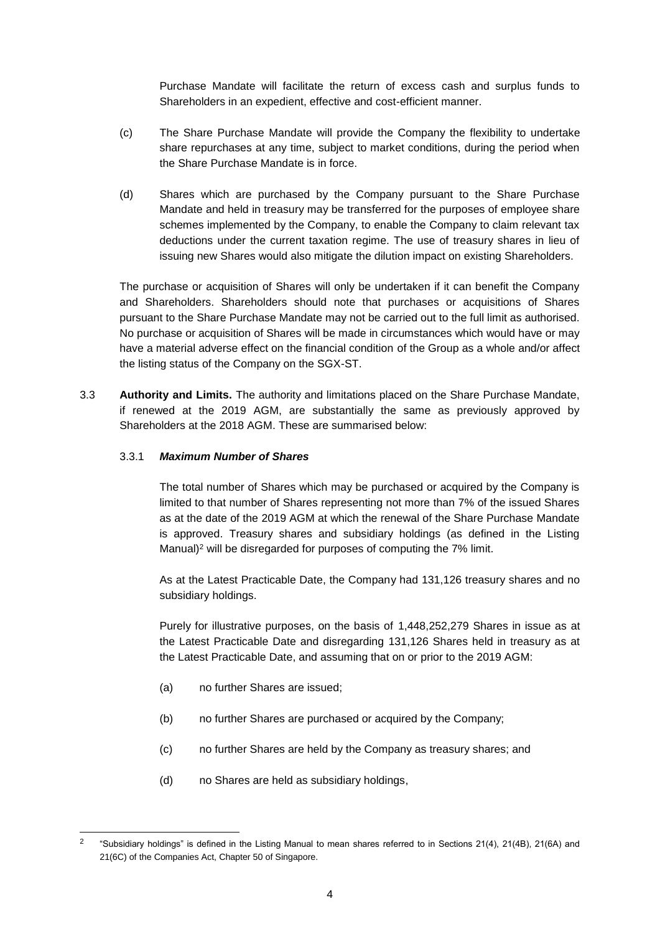Purchase Mandate will facilitate the return of excess cash and surplus funds to Shareholders in an expedient, effective and cost-efficient manner.

- (c) The Share Purchase Mandate will provide the Company the flexibility to undertake share repurchases at any time, subject to market conditions, during the period when the Share Purchase Mandate is in force.
- (d) Shares which are purchased by the Company pursuant to the Share Purchase Mandate and held in treasury may be transferred for the purposes of employee share schemes implemented by the Company, to enable the Company to claim relevant tax deductions under the current taxation regime. The use of treasury shares in lieu of issuing new Shares would also mitigate the dilution impact on existing Shareholders.

The purchase or acquisition of Shares will only be undertaken if it can benefit the Company and Shareholders. Shareholders should note that purchases or acquisitions of Shares pursuant to the Share Purchase Mandate may not be carried out to the full limit as authorised. No purchase or acquisition of Shares will be made in circumstances which would have or may have a material adverse effect on the financial condition of the Group as a whole and/or affect the listing status of the Company on the SGX-ST.

3.3 **Authority and Limits.** The authority and limitations placed on the Share Purchase Mandate, if renewed at the 2019 AGM, are substantially the same as previously approved by Shareholders at the 2018 AGM. These are summarised below:

# 3.3.1 *Maximum Number of Shares*

The total number of Shares which may be purchased or acquired by the Company is limited to that number of Shares representing not more than 7% of the issued Shares as at the date of the 2019 AGM at which the renewal of the Share Purchase Mandate is approved. Treasury shares and subsidiary holdings (as defined in the Listing Manual)<sup>2</sup> will be disregarded for purposes of computing the 7% limit.

As at the Latest Practicable Date, the Company had 131,126 treasury shares and no subsidiary holdings.

Purely for illustrative purposes, on the basis of 1,448,252,279 Shares in issue as at the Latest Practicable Date and disregarding 131,126 Shares held in treasury as at the Latest Practicable Date, and assuming that on or prior to the 2019 AGM:

(a) no further Shares are issued;

-

- (b) no further Shares are purchased or acquired by the Company;
- (c) no further Shares are held by the Company as treasury shares; and
- (d) no Shares are held as subsidiary holdings,

<sup>2</sup> "Subsidiary holdings" is defined in the Listing Manual to mean shares referred to in Sections 21(4), 21(4B), 21(6A) and 21(6C) of the Companies Act, Chapter 50 of Singapore.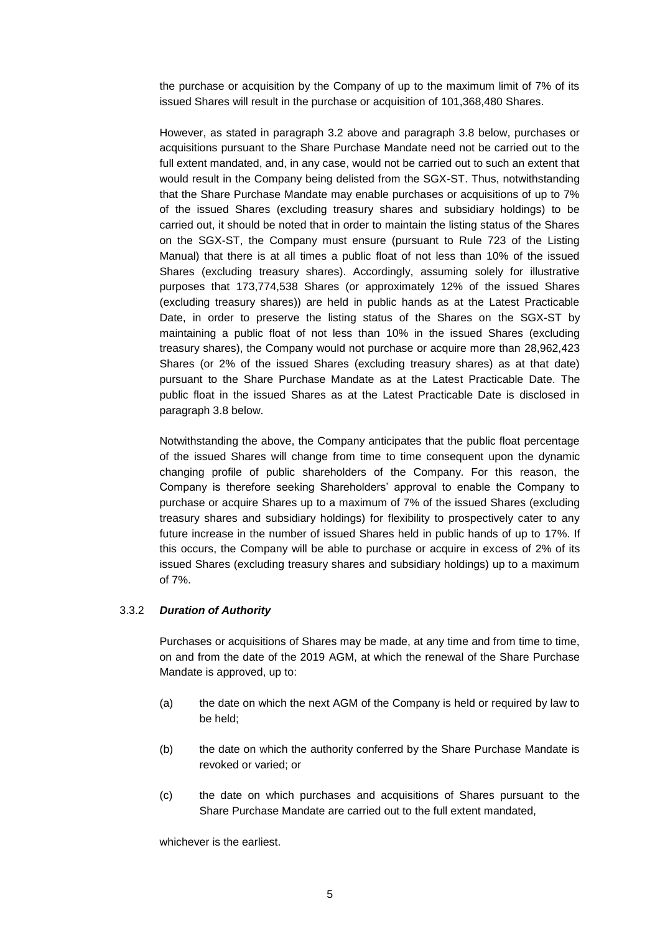the purchase or acquisition by the Company of up to the maximum limit of 7% of its issued Shares will result in the purchase or acquisition of 101,368,480 Shares.

However, as stated in paragraph 3.2 above and paragraph 3.8 below, purchases or acquisitions pursuant to the Share Purchase Mandate need not be carried out to the full extent mandated, and, in any case, would not be carried out to such an extent that would result in the Company being delisted from the SGX-ST. Thus, notwithstanding that the Share Purchase Mandate may enable purchases or acquisitions of up to 7% of the issued Shares (excluding treasury shares and subsidiary holdings) to be carried out, it should be noted that in order to maintain the listing status of the Shares on the SGX-ST, the Company must ensure (pursuant to Rule 723 of the Listing Manual) that there is at all times a public float of not less than 10% of the issued Shares (excluding treasury shares). Accordingly, assuming solely for illustrative purposes that 173,774,538 Shares (or approximately 12% of the issued Shares (excluding treasury shares)) are held in public hands as at the Latest Practicable Date, in order to preserve the listing status of the Shares on the SGX-ST by maintaining a public float of not less than 10% in the issued Shares (excluding treasury shares), the Company would not purchase or acquire more than 28,962,423 Shares (or 2% of the issued Shares (excluding treasury shares) as at that date) pursuant to the Share Purchase Mandate as at the Latest Practicable Date. The public float in the issued Shares as at the Latest Practicable Date is disclosed in paragraph 3.8 below.

Notwithstanding the above, the Company anticipates that the public float percentage of the issued Shares will change from time to time consequent upon the dynamic changing profile of public shareholders of the Company. For this reason, the Company is therefore seeking Shareholders' approval to enable the Company to purchase or acquire Shares up to a maximum of 7% of the issued Shares (excluding treasury shares and subsidiary holdings) for flexibility to prospectively cater to any future increase in the number of issued Shares held in public hands of up to 17%. If this occurs, the Company will be able to purchase or acquire in excess of 2% of its issued Shares (excluding treasury shares and subsidiary holdings) up to a maximum of 7%.

# 3.3.2 *Duration of Authority*

Purchases or acquisitions of Shares may be made, at any time and from time to time, on and from the date of the 2019 AGM, at which the renewal of the Share Purchase Mandate is approved, up to:

- (a) the date on which the next AGM of the Company is held or required by law to be held;
- (b) the date on which the authority conferred by the Share Purchase Mandate is revoked or varied; or
- (c) the date on which purchases and acquisitions of Shares pursuant to the Share Purchase Mandate are carried out to the full extent mandated,

whichever is the earliest.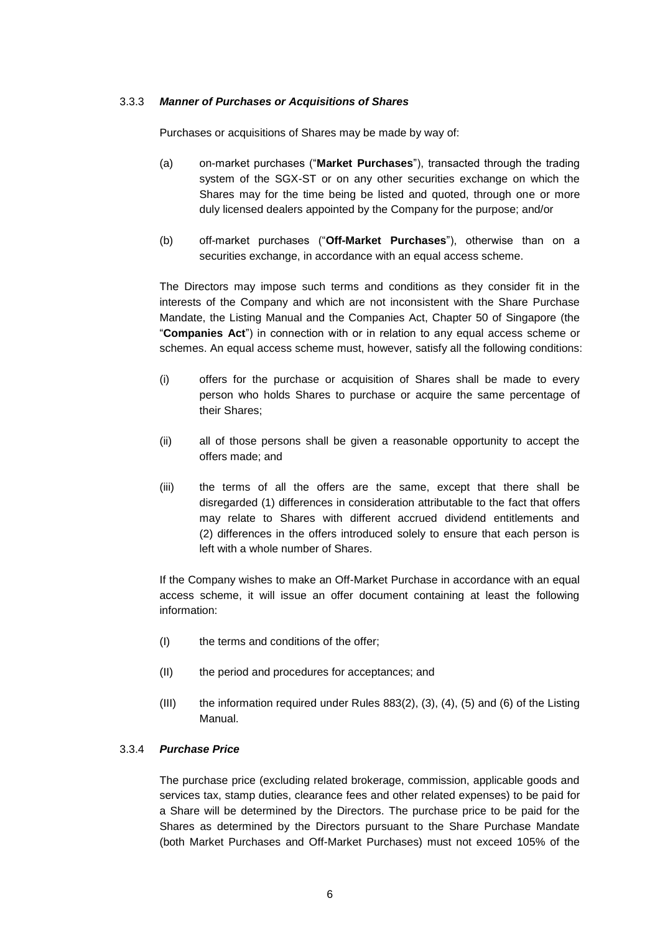## 3.3.3 *Manner of Purchases or Acquisitions of Shares*

Purchases or acquisitions of Shares may be made by way of:

- (a) on-market purchases ("**Market Purchases**"), transacted through the trading system of the SGX-ST or on any other securities exchange on which the Shares may for the time being be listed and quoted, through one or more duly licensed dealers appointed by the Company for the purpose; and/or
- (b) off-market purchases ("**Off-Market Purchases**"), otherwise than on a securities exchange, in accordance with an equal access scheme.

The Directors may impose such terms and conditions as they consider fit in the interests of the Company and which are not inconsistent with the Share Purchase Mandate, the Listing Manual and the Companies Act, Chapter 50 of Singapore (the "**Companies Act**") in connection with or in relation to any equal access scheme or schemes. An equal access scheme must, however, satisfy all the following conditions:

- (i) offers for the purchase or acquisition of Shares shall be made to every person who holds Shares to purchase or acquire the same percentage of their Shares;
- (ii) all of those persons shall be given a reasonable opportunity to accept the offers made; and
- (iii) the terms of all the offers are the same, except that there shall be disregarded (1) differences in consideration attributable to the fact that offers may relate to Shares with different accrued dividend entitlements and (2) differences in the offers introduced solely to ensure that each person is left with a whole number of Shares.

If the Company wishes to make an Off-Market Purchase in accordance with an equal access scheme, it will issue an offer document containing at least the following information:

- (I) the terms and conditions of the offer;
- (II) the period and procedures for acceptances; and
- (III) the information required under Rules 883(2), (3), (4), (5) and (6) of the Listing Manual.

# 3.3.4 *Purchase Price*

The purchase price (excluding related brokerage, commission, applicable goods and services tax, stamp duties, clearance fees and other related expenses) to be paid for a Share will be determined by the Directors. The purchase price to be paid for the Shares as determined by the Directors pursuant to the Share Purchase Mandate (both Market Purchases and Off-Market Purchases) must not exceed 105% of the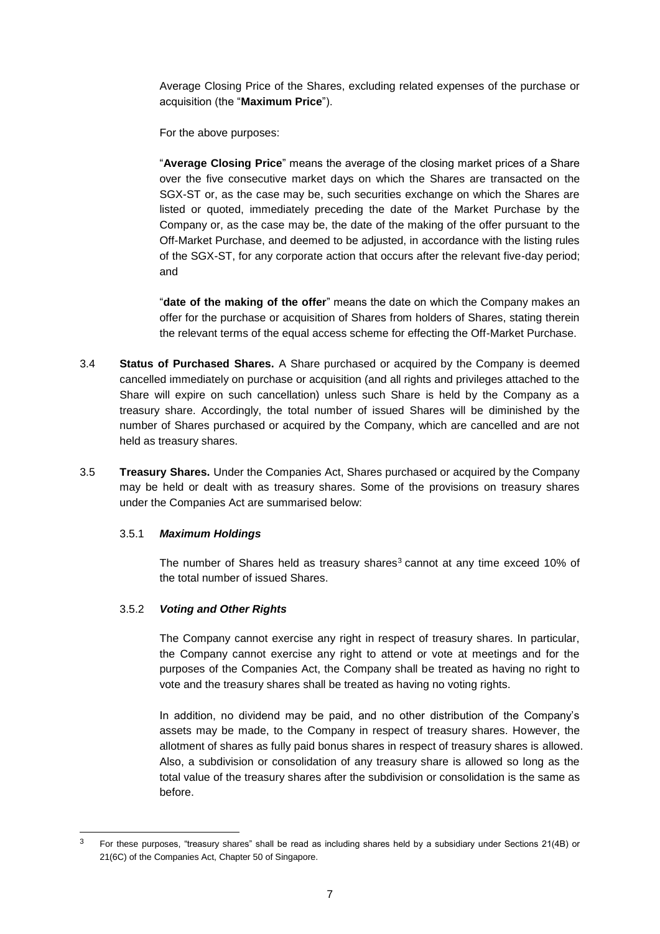Average Closing Price of the Shares, excluding related expenses of the purchase or acquisition (the "**Maximum Price**").

For the above purposes:

"**Average Closing Price**" means the average of the closing market prices of a Share over the five consecutive market days on which the Shares are transacted on the SGX-ST or, as the case may be, such securities exchange on which the Shares are listed or quoted, immediately preceding the date of the Market Purchase by the Company or, as the case may be, the date of the making of the offer pursuant to the Off-Market Purchase, and deemed to be adjusted, in accordance with the listing rules of the SGX-ST, for any corporate action that occurs after the relevant five-day period; and

"**date of the making of the offer**" means the date on which the Company makes an offer for the purchase or acquisition of Shares from holders of Shares, stating therein the relevant terms of the equal access scheme for effecting the Off-Market Purchase.

- 3.4 **Status of Purchased Shares.** A Share purchased or acquired by the Company is deemed cancelled immediately on purchase or acquisition (and all rights and privileges attached to the Share will expire on such cancellation) unless such Share is held by the Company as a treasury share. Accordingly, the total number of issued Shares will be diminished by the number of Shares purchased or acquired by the Company, which are cancelled and are not held as treasury shares.
- 3.5 **Treasury Shares.** Under the Companies Act, Shares purchased or acquired by the Company may be held or dealt with as treasury shares. Some of the provisions on treasury shares under the Companies Act are summarised below:

# 3.5.1 *Maximum Holdings*

The number of Shares held as treasury shares<sup>3</sup> cannot at any time exceed 10% of the total number of issued Shares.

# 3.5.2 *Voting and Other Rights*

-

The Company cannot exercise any right in respect of treasury shares. In particular, the Company cannot exercise any right to attend or vote at meetings and for the purposes of the Companies Act, the Company shall be treated as having no right to vote and the treasury shares shall be treated as having no voting rights.

In addition, no dividend may be paid, and no other distribution of the Company's assets may be made, to the Company in respect of treasury shares. However, the allotment of shares as fully paid bonus shares in respect of treasury shares is allowed. Also, a subdivision or consolidation of any treasury share is allowed so long as the total value of the treasury shares after the subdivision or consolidation is the same as before.

<sup>&</sup>lt;sup>3</sup> For these purposes, "treasury shares" shall be read as including shares held by a subsidiary under Sections 21(4B) or 21(6C) of the Companies Act, Chapter 50 of Singapore.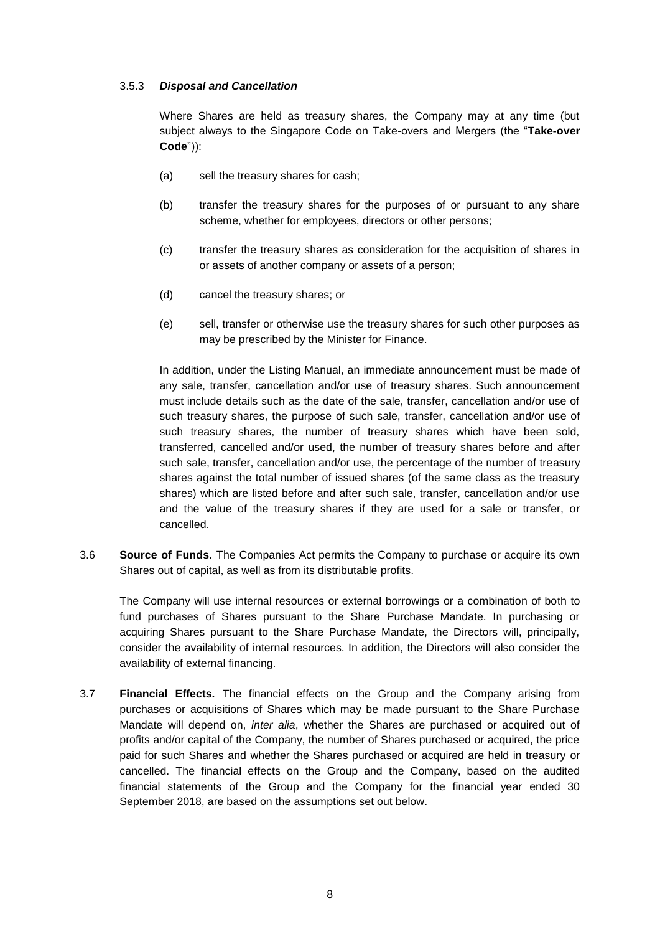# 3.5.3 *Disposal and Cancellation*

Where Shares are held as treasury shares, the Company may at any time (but subject always to the Singapore Code on Take-overs and Mergers (the "**Take-over Code**")):

- (a) sell the treasury shares for cash;
- (b) transfer the treasury shares for the purposes of or pursuant to any share scheme, whether for employees, directors or other persons;
- (c) transfer the treasury shares as consideration for the acquisition of shares in or assets of another company or assets of a person;
- (d) cancel the treasury shares; or
- (e) sell, transfer or otherwise use the treasury shares for such other purposes as may be prescribed by the Minister for Finance.

In addition, under the Listing Manual, an immediate announcement must be made of any sale, transfer, cancellation and/or use of treasury shares. Such announcement must include details such as the date of the sale, transfer, cancellation and/or use of such treasury shares, the purpose of such sale, transfer, cancellation and/or use of such treasury shares, the number of treasury shares which have been sold, transferred, cancelled and/or used, the number of treasury shares before and after such sale, transfer, cancellation and/or use, the percentage of the number of treasury shares against the total number of issued shares (of the same class as the treasury shares) which are listed before and after such sale, transfer, cancellation and/or use and the value of the treasury shares if they are used for a sale or transfer, or cancelled.

3.6 **Source of Funds.** The Companies Act permits the Company to purchase or acquire its own Shares out of capital, as well as from its distributable profits.

The Company will use internal resources or external borrowings or a combination of both to fund purchases of Shares pursuant to the Share Purchase Mandate. In purchasing or acquiring Shares pursuant to the Share Purchase Mandate, the Directors will, principally, consider the availability of internal resources. In addition, the Directors will also consider the availability of external financing.

3.7 **Financial Effects.** The financial effects on the Group and the Company arising from purchases or acquisitions of Shares which may be made pursuant to the Share Purchase Mandate will depend on, *inter alia*, whether the Shares are purchased or acquired out of profits and/or capital of the Company, the number of Shares purchased or acquired, the price paid for such Shares and whether the Shares purchased or acquired are held in treasury or cancelled. The financial effects on the Group and the Company, based on the audited financial statements of the Group and the Company for the financial year ended 30 September 2018, are based on the assumptions set out below.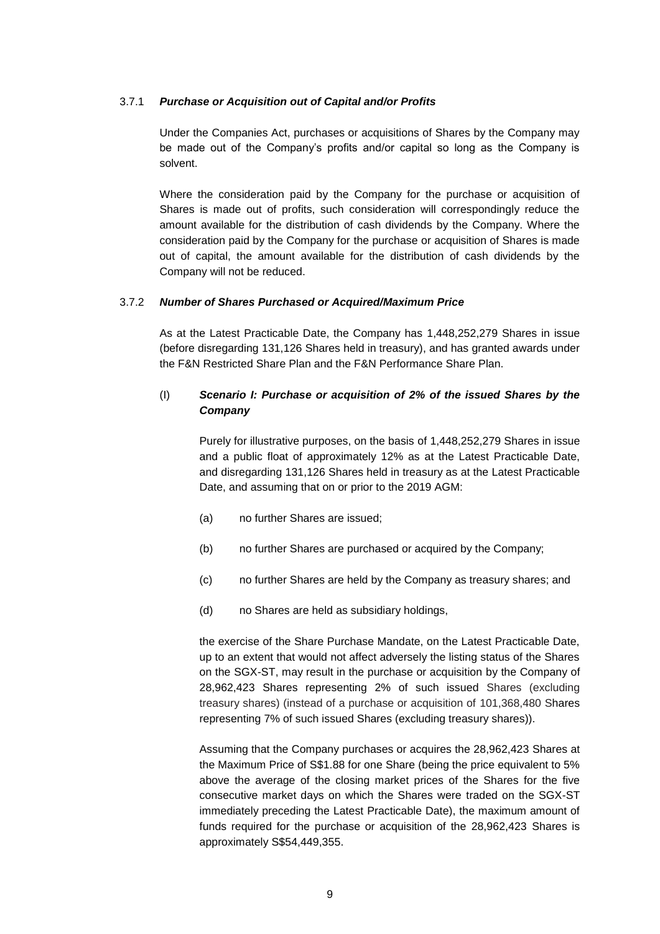# 3.7.1 *Purchase or Acquisition out of Capital and/or Profits*

Under the Companies Act, purchases or acquisitions of Shares by the Company may be made out of the Company's profits and/or capital so long as the Company is solvent.

Where the consideration paid by the Company for the purchase or acquisition of Shares is made out of profits, such consideration will correspondingly reduce the amount available for the distribution of cash dividends by the Company. Where the consideration paid by the Company for the purchase or acquisition of Shares is made out of capital, the amount available for the distribution of cash dividends by the Company will not be reduced.

# 3.7.2 *Number of Shares Purchased or Acquired/Maximum Price*

As at the Latest Practicable Date, the Company has 1,448,252,279 Shares in issue (before disregarding 131,126 Shares held in treasury), and has granted awards under the F&N Restricted Share Plan and the F&N Performance Share Plan.

# (I) *Scenario I: Purchase or acquisition of 2% of the issued Shares by the Company*

Purely for illustrative purposes, on the basis of 1,448,252,279 Shares in issue and a public float of approximately 12% as at the Latest Practicable Date, and disregarding 131,126 Shares held in treasury as at the Latest Practicable Date, and assuming that on or prior to the 2019 AGM:

- (a) no further Shares are issued;
- (b) no further Shares are purchased or acquired by the Company;
- (c) no further Shares are held by the Company as treasury shares; and
- (d) no Shares are held as subsidiary holdings,

the exercise of the Share Purchase Mandate, on the Latest Practicable Date, up to an extent that would not affect adversely the listing status of the Shares on the SGX-ST, may result in the purchase or acquisition by the Company of 28,962,423 Shares representing 2% of such issued Shares (excluding treasury shares) (instead of a purchase or acquisition of 101,368,480 Shares representing 7% of such issued Shares (excluding treasury shares)).

Assuming that the Company purchases or acquires the 28,962,423 Shares at the Maximum Price of S\$1.88 for one Share (being the price equivalent to 5% above the average of the closing market prices of the Shares for the five consecutive market days on which the Shares were traded on the SGX-ST immediately preceding the Latest Practicable Date), the maximum amount of funds required for the purchase or acquisition of the 28,962,423 Shares is approximately S\$54,449,355.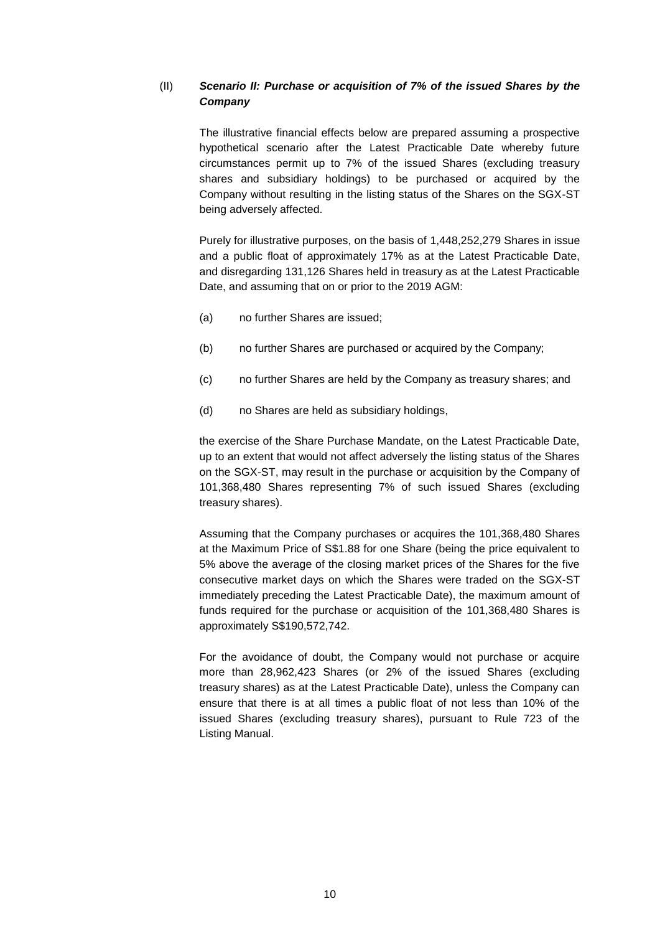# (II) *Scenario II: Purchase or acquisition of 7% of the issued Shares by the Company*

The illustrative financial effects below are prepared assuming a prospective hypothetical scenario after the Latest Practicable Date whereby future circumstances permit up to 7% of the issued Shares (excluding treasury shares and subsidiary holdings) to be purchased or acquired by the Company without resulting in the listing status of the Shares on the SGX-ST being adversely affected.

Purely for illustrative purposes, on the basis of 1,448,252,279 Shares in issue and a public float of approximately 17% as at the Latest Practicable Date, and disregarding 131,126 Shares held in treasury as at the Latest Practicable Date, and assuming that on or prior to the 2019 AGM:

- (a) no further Shares are issued;
- (b) no further Shares are purchased or acquired by the Company;
- (c) no further Shares are held by the Company as treasury shares; and
- (d) no Shares are held as subsidiary holdings,

the exercise of the Share Purchase Mandate, on the Latest Practicable Date, up to an extent that would not affect adversely the listing status of the Shares on the SGX-ST, may result in the purchase or acquisition by the Company of 101,368,480 Shares representing 7% of such issued Shares (excluding treasury shares).

Assuming that the Company purchases or acquires the 101,368,480 Shares at the Maximum Price of S\$1.88 for one Share (being the price equivalent to 5% above the average of the closing market prices of the Shares for the five consecutive market days on which the Shares were traded on the SGX-ST immediately preceding the Latest Practicable Date), the maximum amount of funds required for the purchase or acquisition of the 101,368,480 Shares is approximately S\$190,572,742.

For the avoidance of doubt, the Company would not purchase or acquire more than 28,962,423 Shares (or 2% of the issued Shares (excluding treasury shares) as at the Latest Practicable Date), unless the Company can ensure that there is at all times a public float of not less than 10% of the issued Shares (excluding treasury shares), pursuant to Rule 723 of the Listing Manual.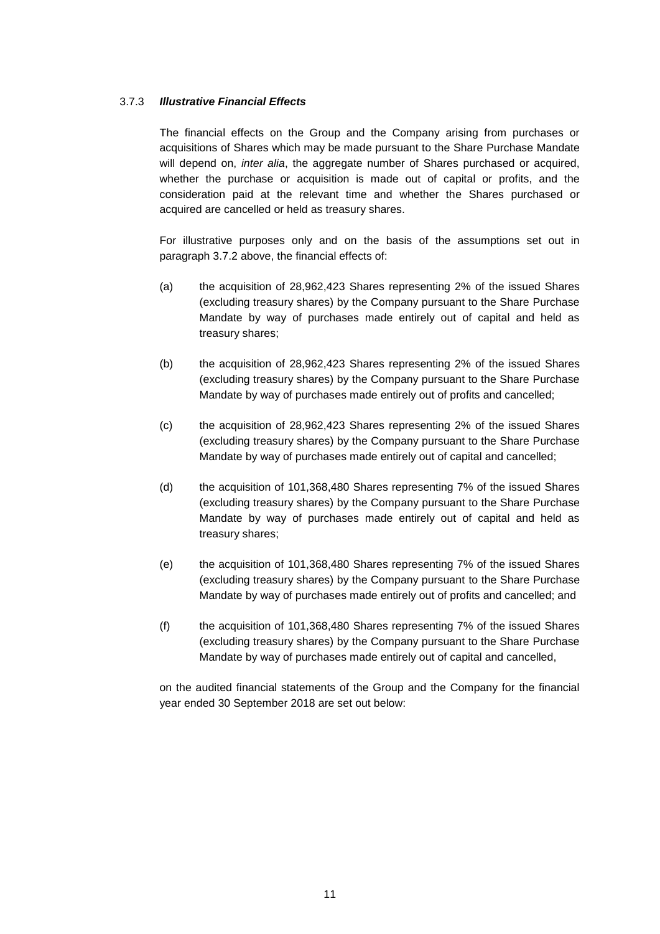# 3.7.3 *Illustrative Financial Effects*

The financial effects on the Group and the Company arising from purchases or acquisitions of Shares which may be made pursuant to the Share Purchase Mandate will depend on, *inter alia*, the aggregate number of Shares purchased or acquired, whether the purchase or acquisition is made out of capital or profits, and the consideration paid at the relevant time and whether the Shares purchased or acquired are cancelled or held as treasury shares.

For illustrative purposes only and on the basis of the assumptions set out in paragraph 3.7.2 above, the financial effects of:

- (a) the acquisition of 28,962,423 Shares representing 2% of the issued Shares (excluding treasury shares) by the Company pursuant to the Share Purchase Mandate by way of purchases made entirely out of capital and held as treasury shares;
- (b) the acquisition of 28,962,423 Shares representing 2% of the issued Shares (excluding treasury shares) by the Company pursuant to the Share Purchase Mandate by way of purchases made entirely out of profits and cancelled;
- (c) the acquisition of 28,962,423 Shares representing 2% of the issued Shares (excluding treasury shares) by the Company pursuant to the Share Purchase Mandate by way of purchases made entirely out of capital and cancelled;
- (d) the acquisition of 101,368,480 Shares representing 7% of the issued Shares (excluding treasury shares) by the Company pursuant to the Share Purchase Mandate by way of purchases made entirely out of capital and held as treasury shares;
- (e) the acquisition of 101,368,480 Shares representing 7% of the issued Shares (excluding treasury shares) by the Company pursuant to the Share Purchase Mandate by way of purchases made entirely out of profits and cancelled; and
- (f) the acquisition of 101,368,480 Shares representing 7% of the issued Shares (excluding treasury shares) by the Company pursuant to the Share Purchase Mandate by way of purchases made entirely out of capital and cancelled,

on the audited financial statements of the Group and the Company for the financial year ended 30 September 2018 are set out below: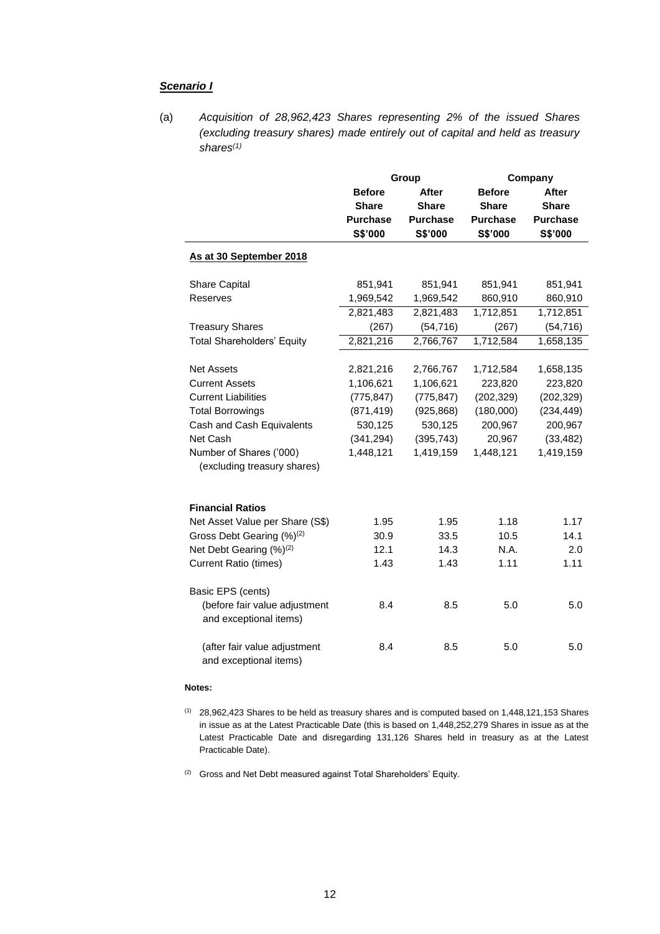#### *Scenario I*

(a) *Acquisition of 28,962,423 Shares representing 2% of the issued Shares (excluding treasury shares) made entirely out of capital and held as treasury shares(1)* 

|                                                        | Group           |                 |                 | Company         |
|--------------------------------------------------------|-----------------|-----------------|-----------------|-----------------|
|                                                        | <b>Before</b>   | After           | <b>Before</b>   | After           |
|                                                        | <b>Share</b>    | <b>Share</b>    | <b>Share</b>    | <b>Share</b>    |
|                                                        | <b>Purchase</b> | <b>Purchase</b> | <b>Purchase</b> | <b>Purchase</b> |
|                                                        | S\$'000         | S\$'000         | S\$'000         | S\$'000         |
| As at 30 September 2018                                |                 |                 |                 |                 |
| Share Capital                                          | 851,941         | 851,941         | 851,941         | 851,941         |
| Reserves                                               | 1,969,542       | 1,969,542       | 860,910         | 860,910         |
|                                                        | 2,821,483       | 2,821,483       | 1,712,851       | 1,712,851       |
| <b>Treasury Shares</b>                                 | (267)           | (54, 716)       | (267)           | (54, 716)       |
| <b>Total Shareholders' Equity</b>                      | 2,821,216       | 2,766,767       | 1,712,584       | 1,658,135       |
|                                                        |                 |                 |                 |                 |
| <b>Net Assets</b>                                      | 2,821,216       | 2,766,767       | 1,712,584       | 1,658,135       |
| <b>Current Assets</b>                                  | 1,106,621       | 1,106,621       | 223,820         | 223,820         |
| <b>Current Liabilities</b>                             | (775, 847)      | (775, 847)      | (202, 329)      | (202, 329)      |
| <b>Total Borrowings</b>                                | (871, 419)      | (925, 868)      | (180,000)       | (234, 449)      |
| Cash and Cash Equivalents                              | 530,125         | 530,125         | 200,967         | 200,967         |
| Net Cash                                               | (341, 294)      | (395, 743)      | 20,967          | (33, 482)       |
| Number of Shares ('000)                                | 1,448,121       | 1,419,159       | 1,448,121       | 1,419,159       |
| (excluding treasury shares)                            |                 |                 |                 |                 |
| <b>Financial Ratios</b>                                |                 |                 |                 |                 |
| Net Asset Value per Share (S\$)                        | 1.95            | 1.95            | 1.18            | 1.17            |
| Gross Debt Gearing (%) <sup>(2)</sup>                  | 30.9            | 33.5            | 10.5            | 14.1            |
| Net Debt Gearing (%) <sup>(2)</sup>                    | 12.1            | 14.3            | N.A.            | 2.0             |
| <b>Current Ratio (times)</b>                           | 1.43            | 1.43            | 1.11            | 1.11            |
| Basic EPS (cents)                                      |                 |                 |                 |                 |
| (before fair value adjustment                          | 8.4             | 8.5             | 5.0             | 5.0             |
| and exceptional items)                                 |                 |                 |                 |                 |
| (after fair value adjustment<br>and exceptional items) | 8.4             | 8.5             | 5.0             | 5.0             |

#### **Notes:**

- (1) 28,962,423 Shares to be held as treasury shares and is computed based on 1,448,121,153 Shares in issue as at the Latest Practicable Date (this is based on 1,448,252,279 Shares in issue as at the Latest Practicable Date and disregarding 131,126 Shares held in treasury as at the Latest Practicable Date).
- $(2)$  Gross and Net Debt measured against Total Shareholders' Equity.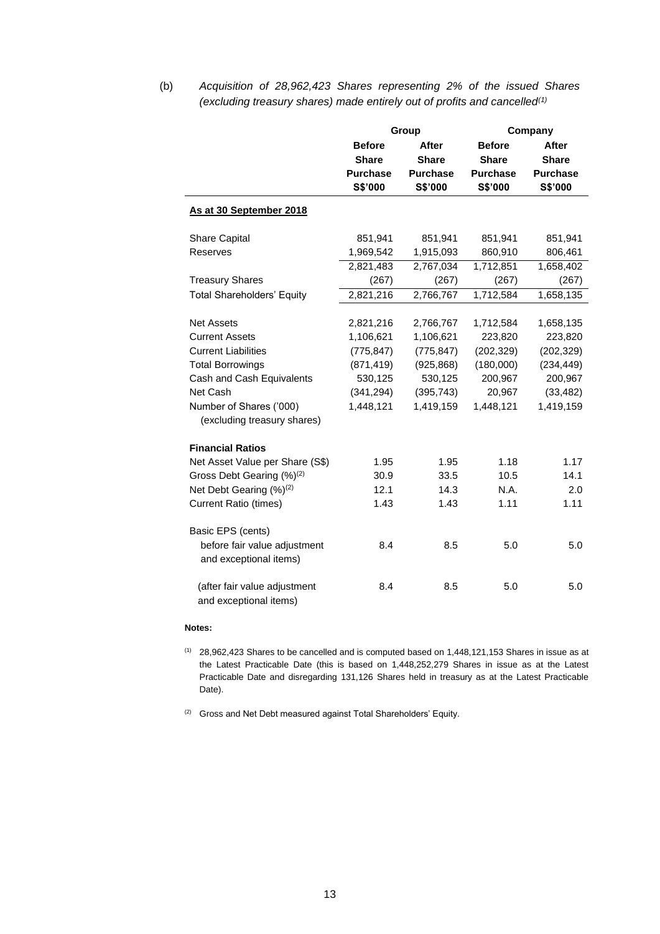(b) *Acquisition of 28,962,423 Shares representing 2% of the issued Shares (excluding treasury shares) made entirely out of profits and cancelled(1)* 

|                                                        | Group           |                 | Company         |                 |  |
|--------------------------------------------------------|-----------------|-----------------|-----------------|-----------------|--|
|                                                        | <b>Before</b>   | After           | <b>Before</b>   | <b>After</b>    |  |
|                                                        | <b>Share</b>    | <b>Share</b>    | <b>Share</b>    | <b>Share</b>    |  |
|                                                        | <b>Purchase</b> | <b>Purchase</b> | <b>Purchase</b> | <b>Purchase</b> |  |
|                                                        | S\$'000         | S\$'000         | S\$'000         | S\$'000         |  |
| As at 30 September 2018                                |                 |                 |                 |                 |  |
| Share Capital                                          | 851,941         | 851,941         | 851,941         | 851,941         |  |
| Reserves                                               | 1,969,542       | 1,915,093       | 860,910         | 806,461         |  |
|                                                        | 2,821,483       | 2,767,034       | 1,712,851       | 1,658,402       |  |
| <b>Treasury Shares</b>                                 | (267)           | (267)           | (267)           | (267)           |  |
| <b>Total Shareholders' Equity</b>                      | 2,821,216       | 2,766,767       | 1,712,584       | 1,658,135       |  |
|                                                        |                 |                 |                 |                 |  |
| <b>Net Assets</b>                                      | 2,821,216       | 2,766,767       | 1,712,584       | 1,658,135       |  |
| <b>Current Assets</b>                                  | 1,106,621       | 1,106,621       | 223,820         | 223,820         |  |
| <b>Current Liabilities</b>                             | (775, 847)      | (775, 847)      | (202, 329)      | (202, 329)      |  |
| <b>Total Borrowings</b>                                | (871, 419)      | (925, 868)      | (180,000)       | (234, 449)      |  |
| Cash and Cash Equivalents                              | 530,125         | 530,125         | 200,967         | 200,967         |  |
| Net Cash                                               | (341, 294)      | (395, 743)      | 20,967          | (33, 482)       |  |
| Number of Shares ('000)<br>(excluding treasury shares) | 1,448,121       | 1,419,159       | 1,448,121       | 1,419,159       |  |
| <b>Financial Ratios</b>                                |                 |                 |                 |                 |  |
| Net Asset Value per Share (S\$)                        | 1.95            | 1.95            | 1.18            | 1.17            |  |
| Gross Debt Gearing (%) <sup>(2)</sup>                  | 30.9            | 33.5            | 10.5            | 14.1            |  |
| Net Debt Gearing (%) <sup>(2)</sup>                    | 12.1            | 14.3            | N.A.            | 2.0             |  |
| <b>Current Ratio (times)</b>                           | 1.43            | 1.43            | 1.11            | 1.11            |  |
| Basic EPS (cents)                                      |                 |                 |                 |                 |  |
| before fair value adjustment<br>and exceptional items) | 8.4             | 8.5             | 5.0             | 5.0             |  |
| (after fair value adjustment<br>and exceptional items) | 8.4             | 8.5             | 5.0             | 5.0             |  |

#### **Notes:**

(1) 28,962,423 Shares to be cancelled and is computed based on 1,448,121,153 Shares in issue as at the Latest Practicable Date (this is based on 1,448,252,279 Shares in issue as at the Latest Practicable Date and disregarding 131,126 Shares held in treasury as at the Latest Practicable Date).

<sup>(2)</sup> Gross and Net Debt measured against Total Shareholders' Equity.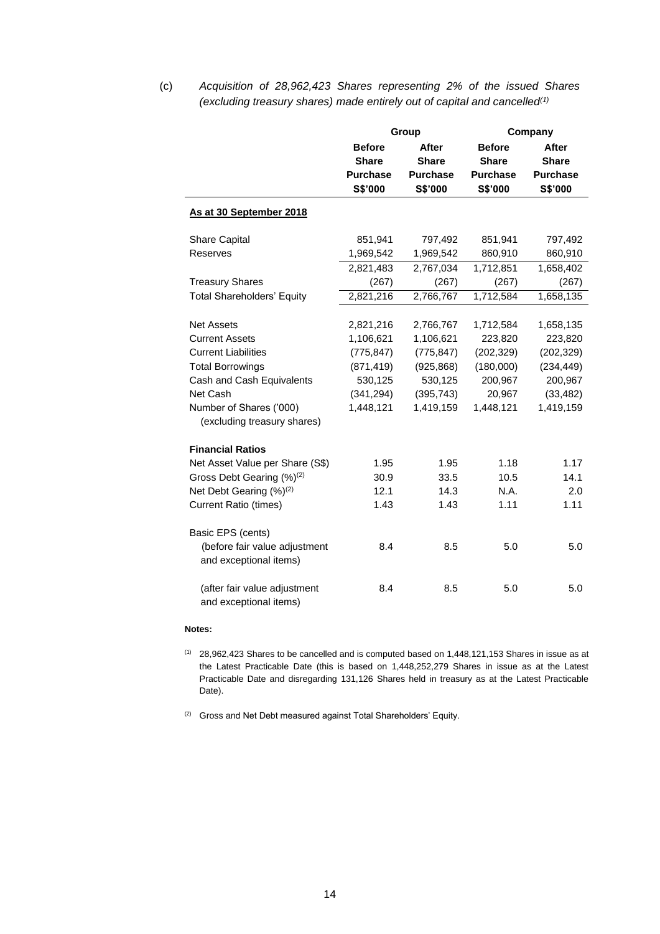(c) *Acquisition of 28,962,423 Shares representing 2% of the issued Shares (excluding treasury shares) made entirely out of capital and cancelled(1)* 

|                                                        |                 | Group           | Company         |                 |  |
|--------------------------------------------------------|-----------------|-----------------|-----------------|-----------------|--|
|                                                        | <b>Before</b>   | <b>After</b>    | <b>Before</b>   | After           |  |
|                                                        | <b>Share</b>    | <b>Share</b>    | <b>Share</b>    | <b>Share</b>    |  |
|                                                        | <b>Purchase</b> | <b>Purchase</b> | <b>Purchase</b> | <b>Purchase</b> |  |
|                                                        | S\$'000         | S\$'000         | S\$'000         | S\$'000         |  |
| As at 30 September 2018                                |                 |                 |                 |                 |  |
| <b>Share Capital</b>                                   | 851,941         | 797,492         | 851,941         | 797,492         |  |
| Reserves                                               | 1,969,542       | 1,969,542       | 860,910         | 860,910         |  |
|                                                        | 2,821,483       | 2,767,034       | 1,712,851       | 1,658,402       |  |
| <b>Treasury Shares</b>                                 | (267)           | (267)           | (267)           | (267)           |  |
| <b>Total Shareholders' Equity</b>                      | 2,821,216       | 2,766,767       | 1,712,584       | 1,658,135       |  |
|                                                        |                 |                 |                 |                 |  |
| <b>Net Assets</b>                                      | 2,821,216       | 2,766,767       | 1,712,584       | 1,658,135       |  |
| <b>Current Assets</b>                                  | 1,106,621       | 1,106,621       | 223,820         | 223,820         |  |
| <b>Current Liabilities</b>                             | (775, 847)      | (775, 847)      | (202, 329)      | (202, 329)      |  |
| <b>Total Borrowings</b>                                | (871, 419)      | (925, 868)      | (180,000)       | (234, 449)      |  |
| Cash and Cash Equivalents                              | 530,125         | 530,125         | 200,967         | 200,967         |  |
| Net Cash                                               | (341, 294)      | (395, 743)      | 20,967          | (33, 482)       |  |
| Number of Shares ('000)                                | 1,448,121       | 1,419,159       | 1,448,121       | 1,419,159       |  |
| (excluding treasury shares)                            |                 |                 |                 |                 |  |
| <b>Financial Ratios</b>                                |                 |                 |                 |                 |  |
| Net Asset Value per Share (S\$)                        | 1.95            | 1.95            | 1.18            | 1.17            |  |
| Gross Debt Gearing (%) <sup>(2)</sup>                  | 30.9            | 33.5            | 10.5            | 14.1            |  |
| Net Debt Gearing (%) <sup>(2)</sup>                    | 12.1            | 14.3            | N.A.            | 2.0             |  |
| <b>Current Ratio (times)</b>                           | 1.43            | 1.43            | 1.11            | 1.11            |  |
| Basic EPS (cents)                                      |                 |                 |                 |                 |  |
| (before fair value adjustment                          | 8.4             | 8.5             | 5.0             | 5.0             |  |
| and exceptional items)                                 |                 |                 |                 |                 |  |
| (after fair value adjustment<br>and exceptional items) | 8.4             | 8.5             | 5.0             | 5.0             |  |

#### **Notes:**

 $(1)$  28,962,423 Shares to be cancelled and is computed based on 1,448,121,153 Shares in issue as at the Latest Practicable Date (this is based on 1,448,252,279 Shares in issue as at the Latest Practicable Date and disregarding 131,126 Shares held in treasury as at the Latest Practicable Date).

 $(2)$  Gross and Net Debt measured against Total Shareholders' Equity.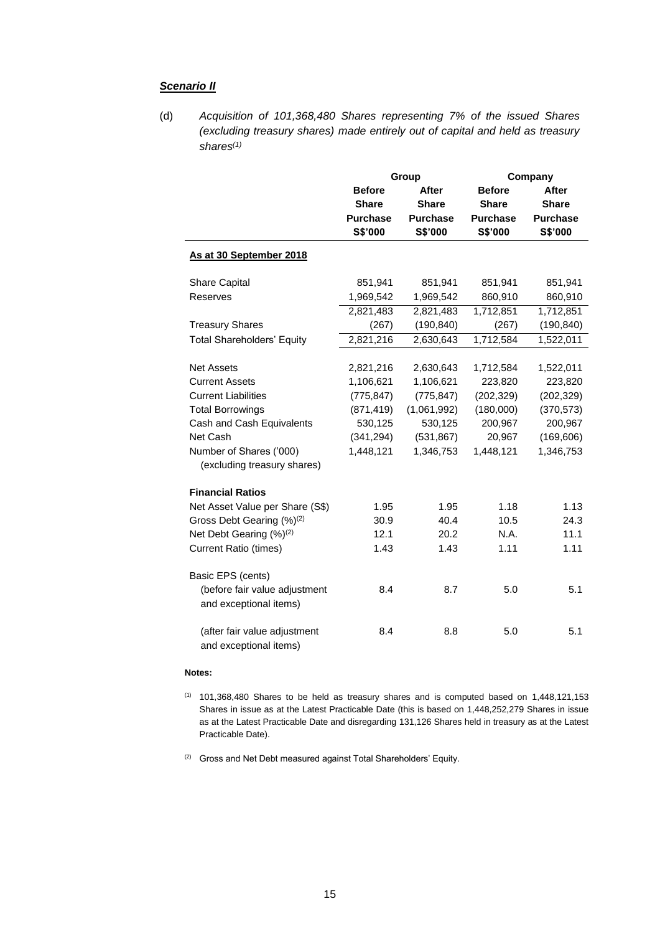#### *Scenario II*

(d) *Acquisition of 101,368,480 Shares representing 7% of the issued Shares (excluding treasury shares) made entirely out of capital and held as treasury shares(1)* 

|                                                         | Group           |                 | Company         |                 |
|---------------------------------------------------------|-----------------|-----------------|-----------------|-----------------|
|                                                         | <b>Before</b>   | <b>After</b>    | <b>Before</b>   | After           |
|                                                         | <b>Share</b>    | <b>Share</b>    | <b>Share</b>    | <b>Share</b>    |
|                                                         | <b>Purchase</b> | <b>Purchase</b> | <b>Purchase</b> | <b>Purchase</b> |
|                                                         | S\$'000         | S\$'000         | S\$'000         | S\$'000         |
| As at 30 September 2018                                 |                 |                 |                 |                 |
| Share Capital                                           | 851,941         | 851,941         | 851,941         | 851,941         |
| Reserves                                                | 1,969,542       | 1,969,542       | 860,910         | 860,910         |
|                                                         | 2,821,483       | 2,821,483       | 1,712,851       | 1,712,851       |
| <b>Treasury Shares</b>                                  | (267)           | (190, 840)      | (267)           | (190, 840)      |
| <b>Total Shareholders' Equity</b>                       | 2,821,216       | 2,630,643       | 1,712,584       | 1,522,011       |
|                                                         |                 |                 |                 |                 |
| <b>Net Assets</b>                                       | 2,821,216       | 2,630,643       | 1,712,584       | 1,522,011       |
| <b>Current Assets</b>                                   | 1,106,621       | 1,106,621       | 223,820         | 223,820         |
| <b>Current Liabilities</b>                              | (775, 847)      | (775, 847)      | (202, 329)      | (202, 329)      |
| <b>Total Borrowings</b>                                 | (871, 419)      | (1,061,992)     | (180,000)       | (370, 573)      |
| Cash and Cash Equivalents                               | 530,125         | 530,125         | 200,967         | 200,967         |
| Net Cash                                                | (341, 294)      | (531, 867)      | 20,967          | (169, 606)      |
| Number of Shares ('000)<br>(excluding treasury shares)  | 1,448,121       | 1,346,753       | 1,448,121       | 1,346,753       |
| <b>Financial Ratios</b>                                 |                 |                 |                 |                 |
| Net Asset Value per Share (S\$)                         | 1.95            | 1.95            | 1.18            | 1.13            |
| Gross Debt Gearing (%) <sup>(2)</sup>                   | 30.9            | 40.4            | 10.5            | 24.3            |
| Net Debt Gearing (%) <sup>(2)</sup>                     | 12.1            | 20.2            | N.A.            | 11.1            |
| <b>Current Ratio (times)</b>                            | 1.43            | 1.43            | 1.11            | 1.11            |
| Basic EPS (cents)                                       |                 |                 |                 |                 |
| (before fair value adjustment<br>and exceptional items) | 8.4             | 8.7             | 5.0             | 5.1             |
| (after fair value adjustment<br>and exceptional items)  | 8.4             | 8.8             | 5.0             | 5.1             |

#### **Notes:**

 $(1)$  101,368,480 Shares to be held as treasury shares and is computed based on 1,448,121,153 Shares in issue as at the Latest Practicable Date (this is based on 1,448,252,279 Shares in issue as at the Latest Practicable Date and disregarding 131,126 Shares held in treasury as at the Latest Practicable Date).

<sup>(2)</sup> Gross and Net Debt measured against Total Shareholders' Equity.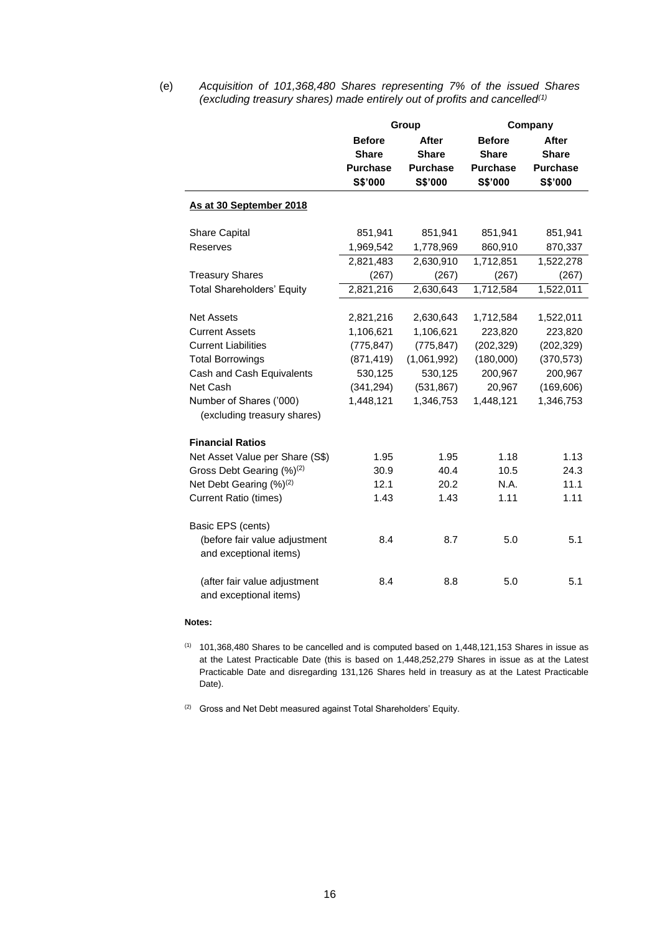(e) *Acquisition of 101,368,480 Shares representing 7% of the issued Shares (excluding treasury shares) made entirely out of profits and cancelled(1)* 

|                                                         | Group           |                 | Company         |                 |
|---------------------------------------------------------|-----------------|-----------------|-----------------|-----------------|
|                                                         | <b>Before</b>   | After           | <b>Before</b>   | <b>After</b>    |
|                                                         | <b>Share</b>    | <b>Share</b>    | <b>Share</b>    | <b>Share</b>    |
|                                                         | <b>Purchase</b> | <b>Purchase</b> | <b>Purchase</b> | <b>Purchase</b> |
|                                                         | S\$'000         | S\$'000         | S\$'000         | S\$'000         |
| As at 30 September 2018                                 |                 |                 |                 |                 |
| <b>Share Capital</b>                                    | 851,941         | 851,941         | 851,941         | 851,941         |
| Reserves                                                | 1,969,542       | 1,778,969       | 860,910         | 870,337         |
|                                                         | 2,821,483       | 2,630,910       | 1,712,851       | 1,522,278       |
| <b>Treasury Shares</b>                                  | (267)           | (267)           | (267)           | (267)           |
| <b>Total Shareholders' Equity</b>                       | 2,821,216       | 2,630,643       | 1,712,584       | 1,522,011       |
|                                                         |                 |                 |                 |                 |
| <b>Net Assets</b>                                       | 2,821,216       | 2,630,643       | 1,712,584       | 1,522,011       |
| <b>Current Assets</b>                                   | 1,106,621       | 1,106,621       | 223,820         | 223,820         |
| <b>Current Liabilities</b>                              | (775, 847)      | (775, 847)      | (202, 329)      | (202, 329)      |
| <b>Total Borrowings</b>                                 | (871, 419)      | (1,061,992)     | (180,000)       | (370, 573)      |
| Cash and Cash Equivalents                               | 530,125         | 530,125         | 200,967         | 200,967         |
| Net Cash                                                | (341, 294)      | (531, 867)      | 20,967          | (169, 606)      |
| Number of Shares ('000)<br>(excluding treasury shares)  | 1,448,121       | 1,346,753       | 1,448,121       | 1,346,753       |
| <b>Financial Ratios</b>                                 |                 |                 |                 |                 |
| Net Asset Value per Share (S\$)                         | 1.95            | 1.95            | 1.18            | 1.13            |
| Gross Debt Gearing (%) <sup>(2)</sup>                   | 30.9            | 40.4            | 10.5            | 24.3            |
| Net Debt Gearing (%) <sup>(2)</sup>                     | 12.1            | 20.2            | N.A.            | 11.1            |
| <b>Current Ratio (times)</b>                            | 1.43            | 1.43            | 1.11            | 1.11            |
| Basic EPS (cents)                                       |                 |                 |                 |                 |
| (before fair value adjustment<br>and exceptional items) | 8.4             | 8.7             | 5.0             | 5.1             |
| (after fair value adjustment<br>and exceptional items)  | 8.4             | 8.8             | 5.0             | 5.1             |

#### **Notes:**

 $(1)$  101,368,480 Shares to be cancelled and is computed based on 1,448,121,153 Shares in issue as at the Latest Practicable Date (this is based on 1,448,252,279 Shares in issue as at the Latest Practicable Date and disregarding 131,126 Shares held in treasury as at the Latest Practicable Date).

(2) Gross and Net Debt measured against Total Shareholders' Equity.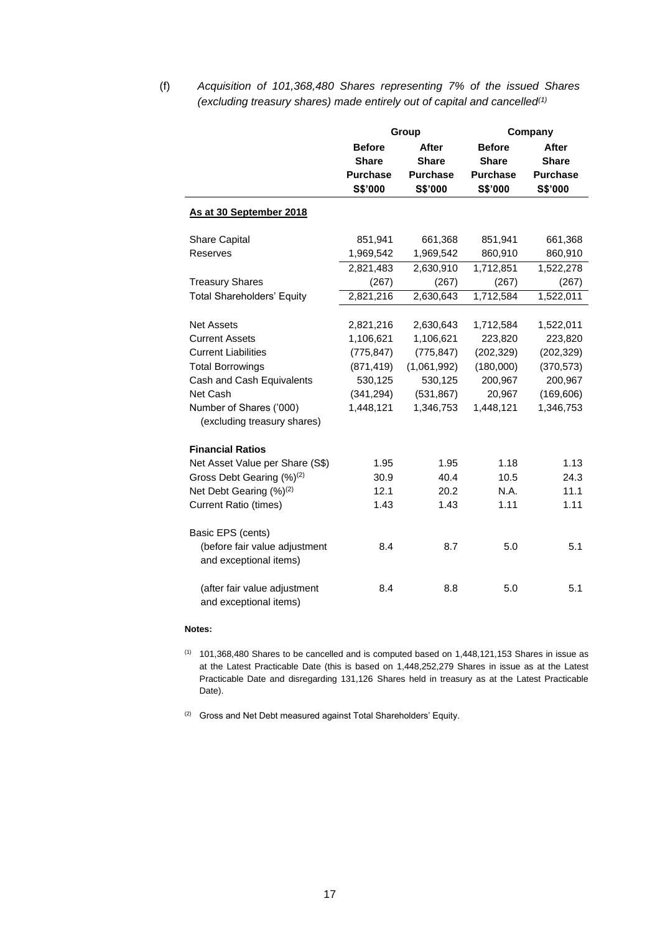(f) *Acquisition of 101,368,480 Shares representing 7% of the issued Shares (excluding treasury shares) made entirely out of capital and cancelled(1)* 

|                                                         |                 | Group           | Company         |                 |  |
|---------------------------------------------------------|-----------------|-----------------|-----------------|-----------------|--|
|                                                         | <b>Before</b>   | After           | <b>Before</b>   | After           |  |
|                                                         | <b>Share</b>    | <b>Share</b>    | <b>Share</b>    | <b>Share</b>    |  |
|                                                         | <b>Purchase</b> | <b>Purchase</b> | <b>Purchase</b> | <b>Purchase</b> |  |
|                                                         | S\$'000         | S\$'000         | S\$'000         | S\$'000         |  |
| As at 30 September 2018                                 |                 |                 |                 |                 |  |
| Share Capital                                           | 851,941         | 661,368         | 851,941         | 661,368         |  |
| Reserves                                                | 1,969,542       | 1,969,542       | 860,910         | 860,910         |  |
|                                                         | 2,821,483       | 2,630,910       | 1,712,851       | 1,522,278       |  |
| <b>Treasury Shares</b>                                  | (267)           | (267)           | (267)           | (267)           |  |
| <b>Total Shareholders' Equity</b>                       | 2,821,216       | 2,630,643       | 1,712,584       | 1,522,011       |  |
|                                                         |                 |                 |                 |                 |  |
| <b>Net Assets</b>                                       | 2,821,216       | 2,630,643       | 1,712,584       | 1,522,011       |  |
| <b>Current Assets</b>                                   | 1,106,621       | 1,106,621       | 223,820         | 223,820         |  |
| <b>Current Liabilities</b>                              | (775, 847)      | (775, 847)      | (202, 329)      | (202, 329)      |  |
| <b>Total Borrowings</b>                                 | (871, 419)      | (1,061,992)     | (180,000)       | (370, 573)      |  |
| Cash and Cash Equivalents                               | 530,125         | 530,125         | 200,967         | 200,967         |  |
| Net Cash                                                | (341, 294)      | (531, 867)      | 20,967          | (169, 606)      |  |
| Number of Shares ('000)                                 | 1,448,121       | 1,346,753       | 1,448,121       | 1,346,753       |  |
| (excluding treasury shares)                             |                 |                 |                 |                 |  |
| <b>Financial Ratios</b>                                 |                 |                 |                 |                 |  |
| Net Asset Value per Share (S\$)                         | 1.95            | 1.95            | 1.18            | 1.13            |  |
| Gross Debt Gearing (%) <sup>(2)</sup>                   | 30.9            | 40.4            | 10.5            | 24.3            |  |
| Net Debt Gearing (%) <sup>(2)</sup>                     | 12.1            | 20.2            | N.A.            | 11.1            |  |
| <b>Current Ratio (times)</b>                            | 1.43            | 1.43            | 1.11            | 1.11            |  |
|                                                         |                 |                 |                 |                 |  |
| Basic EPS (cents)                                       | 8.4             | 8.7             | 5.0             | 5.1             |  |
| (before fair value adjustment<br>and exceptional items) |                 |                 |                 |                 |  |
|                                                         |                 |                 |                 |                 |  |
| (after fair value adjustment<br>and exceptional items)  | 8.4             | 8.8             | 5.0             | 5.1             |  |

#### **Notes:**

 $(1)$  101,368,480 Shares to be cancelled and is computed based on 1,448,121,153 Shares in issue as at the Latest Practicable Date (this is based on 1,448,252,279 Shares in issue as at the Latest Practicable Date and disregarding 131,126 Shares held in treasury as at the Latest Practicable Date).

 $(2)$  Gross and Net Debt measured against Total Shareholders' Equity.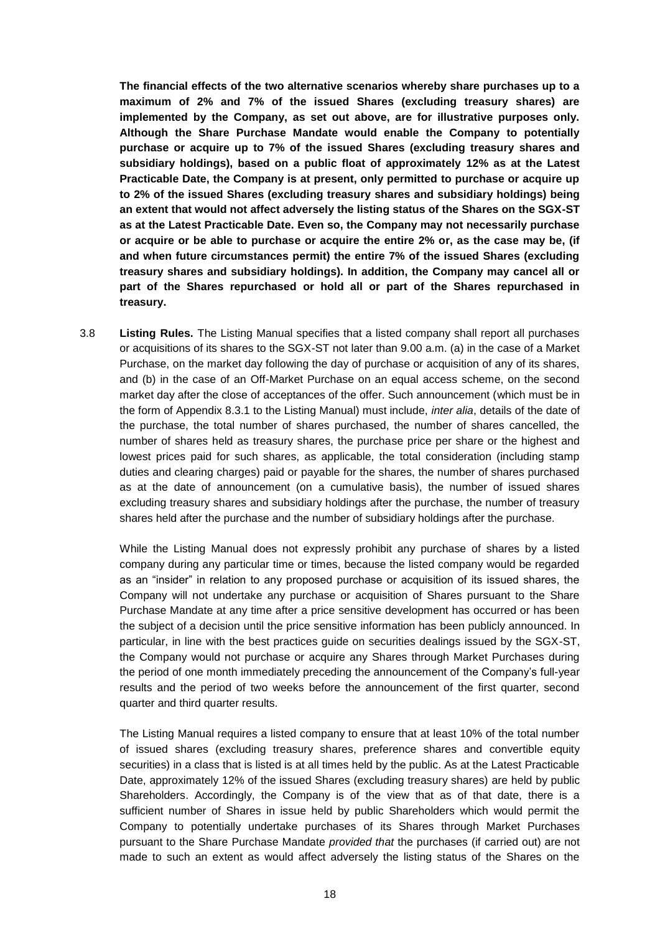**The financial effects of the two alternative scenarios whereby share purchases up to a maximum of 2% and 7% of the issued Shares (excluding treasury shares) are implemented by the Company, as set out above, are for illustrative purposes only. Although the Share Purchase Mandate would enable the Company to potentially purchase or acquire up to 7% of the issued Shares (excluding treasury shares and subsidiary holdings), based on a public float of approximately 12% as at the Latest Practicable Date, the Company is at present, only permitted to purchase or acquire up to 2% of the issued Shares (excluding treasury shares and subsidiary holdings) being an extent that would not affect adversely the listing status of the Shares on the SGX-ST as at the Latest Practicable Date. Even so, the Company may not necessarily purchase or acquire or be able to purchase or acquire the entire 2% or, as the case may be, (if and when future circumstances permit) the entire 7% of the issued Shares (excluding treasury shares and subsidiary holdings). In addition, the Company may cancel all or part of the Shares repurchased or hold all or part of the Shares repurchased in treasury.**

3.8 **Listing Rules.** The Listing Manual specifies that a listed company shall report all purchases or acquisitions of its shares to the SGX-ST not later than 9.00 a.m. (a) in the case of a Market Purchase, on the market day following the day of purchase or acquisition of any of its shares, and (b) in the case of an Off-Market Purchase on an equal access scheme, on the second market day after the close of acceptances of the offer. Such announcement (which must be in the form of Appendix 8.3.1 to the Listing Manual) must include, *inter alia*, details of the date of the purchase, the total number of shares purchased, the number of shares cancelled, the number of shares held as treasury shares, the purchase price per share or the highest and lowest prices paid for such shares, as applicable, the total consideration (including stamp duties and clearing charges) paid or payable for the shares, the number of shares purchased as at the date of announcement (on a cumulative basis), the number of issued shares excluding treasury shares and subsidiary holdings after the purchase, the number of treasury shares held after the purchase and the number of subsidiary holdings after the purchase.

While the Listing Manual does not expressly prohibit any purchase of shares by a listed company during any particular time or times, because the listed company would be regarded as an "insider" in relation to any proposed purchase or acquisition of its issued shares, the Company will not undertake any purchase or acquisition of Shares pursuant to the Share Purchase Mandate at any time after a price sensitive development has occurred or has been the subject of a decision until the price sensitive information has been publicly announced. In particular, in line with the best practices guide on securities dealings issued by the SGX-ST, the Company would not purchase or acquire any Shares through Market Purchases during the period of one month immediately preceding the announcement of the Company's full-year results and the period of two weeks before the announcement of the first quarter, second quarter and third quarter results.

The Listing Manual requires a listed company to ensure that at least 10% of the total number of issued shares (excluding treasury shares, preference shares and convertible equity securities) in a class that is listed is at all times held by the public. As at the Latest Practicable Date, approximately 12% of the issued Shares (excluding treasury shares) are held by public Shareholders. Accordingly, the Company is of the view that as of that date, there is a sufficient number of Shares in issue held by public Shareholders which would permit the Company to potentially undertake purchases of its Shares through Market Purchases pursuant to the Share Purchase Mandate *provided that* the purchases (if carried out) are not made to such an extent as would affect adversely the listing status of the Shares on the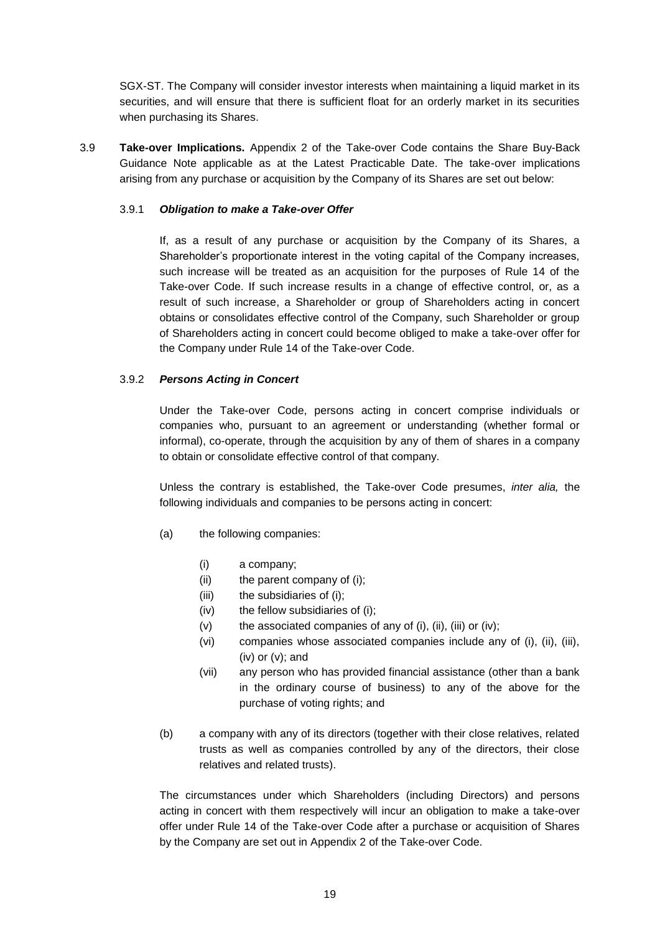SGX-ST. The Company will consider investor interests when maintaining a liquid market in its securities, and will ensure that there is sufficient float for an orderly market in its securities when purchasing its Shares.

3.9 **Take-over Implications.** Appendix 2 of the Take-over Code contains the Share Buy-Back Guidance Note applicable as at the Latest Practicable Date. The take-over implications arising from any purchase or acquisition by the Company of its Shares are set out below:

# 3.9.1 *Obligation to make a Take-over Offer*

If, as a result of any purchase or acquisition by the Company of its Shares, a Shareholder's proportionate interest in the voting capital of the Company increases, such increase will be treated as an acquisition for the purposes of Rule 14 of the Take-over Code. If such increase results in a change of effective control, or, as a result of such increase, a Shareholder or group of Shareholders acting in concert obtains or consolidates effective control of the Company, such Shareholder or group of Shareholders acting in concert could become obliged to make a take-over offer for the Company under Rule 14 of the Take-over Code.

# 3.9.2 *Persons Acting in Concert*

Under the Take-over Code, persons acting in concert comprise individuals or companies who, pursuant to an agreement or understanding (whether formal or informal), co-operate, through the acquisition by any of them of shares in a company to obtain or consolidate effective control of that company.

Unless the contrary is established, the Take-over Code presumes, *inter alia,* the following individuals and companies to be persons acting in concert:

- (a) the following companies:
	- (i) a company;
	- (ii) the parent company of (i);
	- (iii) the subsidiaries of (i);
	- (iv) the fellow subsidiaries of (i);
	- (v) the associated companies of any of (i), (ii), (iii) or (iv);
	- (vi) companies whose associated companies include any of (i), (ii), (iii),  $(iv)$  or  $(v)$ ; and
	- (vii) any person who has provided financial assistance (other than a bank in the ordinary course of business) to any of the above for the purchase of voting rights; and
- (b) a company with any of its directors (together with their close relatives, related trusts as well as companies controlled by any of the directors, their close relatives and related trusts).

The circumstances under which Shareholders (including Directors) and persons acting in concert with them respectively will incur an obligation to make a take-over offer under Rule 14 of the Take-over Code after a purchase or acquisition of Shares by the Company are set out in Appendix 2 of the Take-over Code.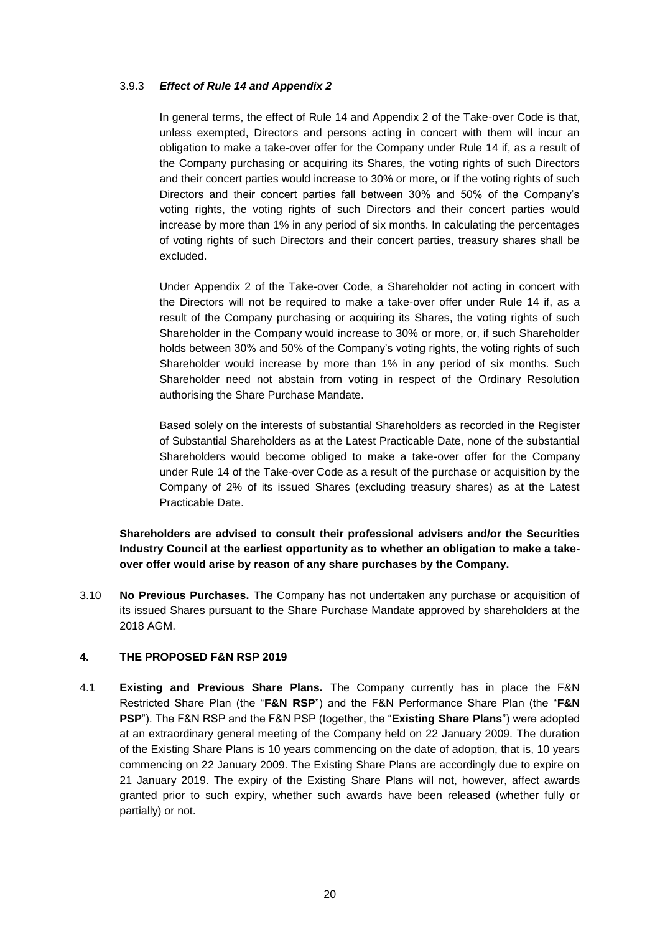# 3.9.3 *Effect of Rule 14 and Appendix 2*

In general terms, the effect of Rule 14 and Appendix 2 of the Take-over Code is that, unless exempted, Directors and persons acting in concert with them will incur an obligation to make a take-over offer for the Company under Rule 14 if, as a result of the Company purchasing or acquiring its Shares, the voting rights of such Directors and their concert parties would increase to 30% or more, or if the voting rights of such Directors and their concert parties fall between 30% and 50% of the Company's voting rights, the voting rights of such Directors and their concert parties would increase by more than 1% in any period of six months. In calculating the percentages of voting rights of such Directors and their concert parties, treasury shares shall be excluded.

Under Appendix 2 of the Take-over Code, a Shareholder not acting in concert with the Directors will not be required to make a take-over offer under Rule 14 if, as a result of the Company purchasing or acquiring its Shares, the voting rights of such Shareholder in the Company would increase to 30% or more, or, if such Shareholder holds between 30% and 50% of the Company's voting rights, the voting rights of such Shareholder would increase by more than 1% in any period of six months. Such Shareholder need not abstain from voting in respect of the Ordinary Resolution authorising the Share Purchase Mandate.

Based solely on the interests of substantial Shareholders as recorded in the Register of Substantial Shareholders as at the Latest Practicable Date, none of the substantial Shareholders would become obliged to make a take-over offer for the Company under Rule 14 of the Take-over Code as a result of the purchase or acquisition by the Company of 2% of its issued Shares (excluding treasury shares) as at the Latest Practicable Date.

# **Shareholders are advised to consult their professional advisers and/or the Securities Industry Council at the earliest opportunity as to whether an obligation to make a takeover offer would arise by reason of any share purchases by the Company.**

3.10 **No Previous Purchases.** The Company has not undertaken any purchase or acquisition of its issued Shares pursuant to the Share Purchase Mandate approved by shareholders at the 2018 AGM.

# **4. THE PROPOSED F&N RSP 2019**

4.1 **Existing and Previous Share Plans.** The Company currently has in place the F&N Restricted Share Plan (the "**F&N RSP**") and the F&N Performance Share Plan (the "**F&N PSP**"). The F&N RSP and the F&N PSP (together, the "**Existing Share Plans**") were adopted at an extraordinary general meeting of the Company held on 22 January 2009. The duration of the Existing Share Plans is 10 years commencing on the date of adoption, that is, 10 years commencing on 22 January 2009. The Existing Share Plans are accordingly due to expire on 21 January 2019. The expiry of the Existing Share Plans will not, however, affect awards granted prior to such expiry, whether such awards have been released (whether fully or partially) or not.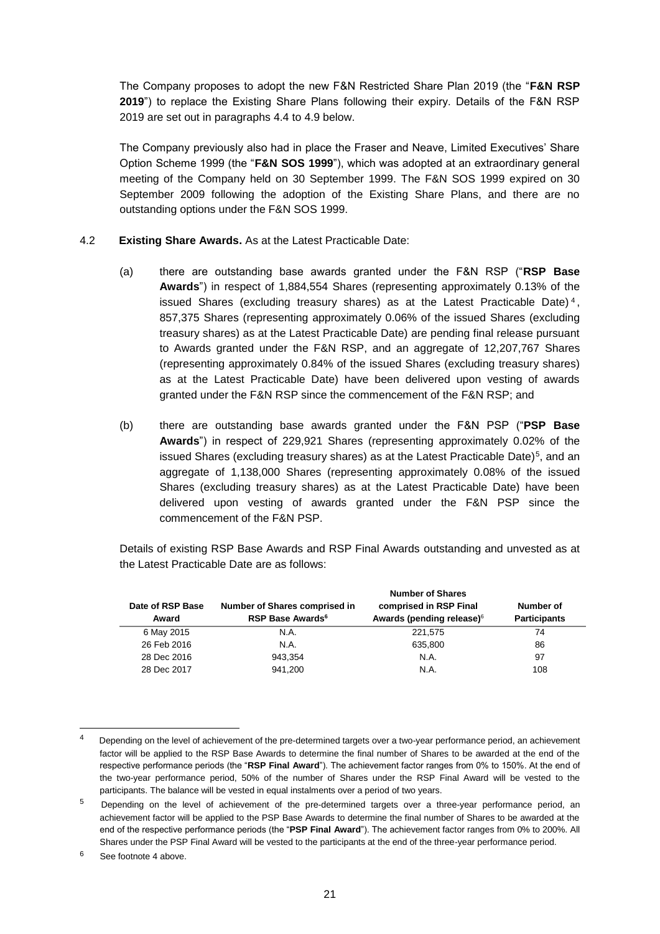The Company proposes to adopt the new F&N Restricted Share Plan 2019 (the "**F&N RSP 2019**") to replace the Existing Share Plans following their expiry. Details of the F&N RSP 2019 are set out in paragraphs 4.4 to 4.9 below.

The Company previously also had in place the Fraser and Neave, Limited Executives' Share Option Scheme 1999 (the "**F&N SOS 1999**"), which was adopted at an extraordinary general meeting of the Company held on 30 September 1999. The F&N SOS 1999 expired on 30 September 2009 following the adoption of the Existing Share Plans, and there are no outstanding options under the F&N SOS 1999.

# 4.2 **Existing Share Awards.** As at the Latest Practicable Date:

- (a) there are outstanding base awards granted under the F&N RSP ("**RSP Base Awards**") in respect of 1,884,554 Shares (representing approximately 0.13% of the issued Shares (excluding treasury shares) as at the Latest Practicable Date) <sup>4</sup> , 857,375 Shares (representing approximately 0.06% of the issued Shares (excluding treasury shares) as at the Latest Practicable Date) are pending final release pursuant to Awards granted under the F&N RSP, and an aggregate of 12,207,767 Shares (representing approximately 0.84% of the issued Shares (excluding treasury shares) as at the Latest Practicable Date) have been delivered upon vesting of awards granted under the F&N RSP since the commencement of the F&N RSP; and
- (b) there are outstanding base awards granted under the F&N PSP ("**PSP Base Awards**") in respect of 229,921 Shares (representing approximately 0.02% of the issued Shares (excluding treasury shares) as at the Latest Practicable Date)<sup>5</sup>, and an aggregate of 1,138,000 Shares (representing approximately 0.08% of the issued Shares (excluding treasury shares) as at the Latest Practicable Date) have been delivered upon vesting of awards granted under the F&N PSP since the commencement of the F&N PSP.

Details of existing RSP Base Awards and RSP Final Awards outstanding and unvested as at the Latest Practicable Date are as follows:

|                  |                                     | <b>Number of Shares</b>               |                     |
|------------------|-------------------------------------|---------------------------------------|---------------------|
| Date of RSP Base | Number of Shares comprised in       | comprised in RSP Final                | Number of           |
| Award            | <b>RSP Base Awards</b> <sup>6</sup> | Awards (pending release) <sup>6</sup> | <b>Participants</b> |
| 6 May 2015       | N.A.                                | 221.575                               | 74                  |
| 26 Feb 2016      | N.A.                                | 635,800                               | 86                  |
| 28 Dec 2016      | 943.354                             | N.A.                                  | 97                  |
| 28 Dec 2017      | 941.200                             | N.A.                                  | 108                 |

6 See footnote 4 above.

-

<sup>4</sup> Depending on the level of achievement of the pre-determined targets over a two-year performance period, an achievement factor will be applied to the RSP Base Awards to determine the final number of Shares to be awarded at the end of the respective performance periods (the "**RSP Final Award**"). The achievement factor ranges from 0% to 150%. At the end of the two-year performance period, 50% of the number of Shares under the RSP Final Award will be vested to the participants. The balance will be vested in equal instalments over a period of two years.

<sup>5</sup> Depending on the level of achievement of the pre-determined targets over a three-year performance period, an achievement factor will be applied to the PSP Base Awards to determine the final number of Shares to be awarded at the end of the respective performance periods (the "**PSP Final Award**"). The achievement factor ranges from 0% to 200%. All Shares under the PSP Final Award will be vested to the participants at the end of the three-year performance period.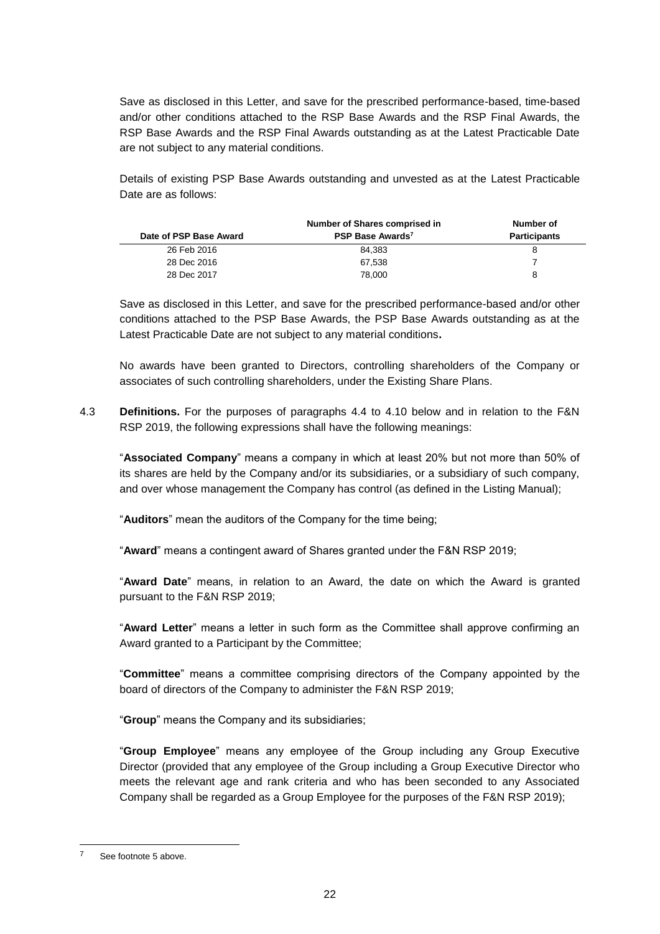Save as disclosed in this Letter, and save for the prescribed performance-based, time-based and/or other conditions attached to the RSP Base Awards and the RSP Final Awards, the RSP Base Awards and the RSP Final Awards outstanding as at the Latest Practicable Date are not subject to any material conditions.

Details of existing PSP Base Awards outstanding and unvested as at the Latest Practicable Date are as follows:

| Date of PSP Base Award | Number of Shares comprised in<br>PSP Base Awards <sup>7</sup> | Number of<br><b>Participants</b> |
|------------------------|---------------------------------------------------------------|----------------------------------|
| 26 Feb 2016            | 84.383                                                        |                                  |
| 28 Dec 2016            | 67.538                                                        |                                  |
| 28 Dec 2017            | 78.000                                                        | 8                                |

Save as disclosed in this Letter, and save for the prescribed performance-based and/or other conditions attached to the PSP Base Awards, the PSP Base Awards outstanding as at the Latest Practicable Date are not subject to any material conditions**.** 

No awards have been granted to Directors, controlling shareholders of the Company or associates of such controlling shareholders, under the Existing Share Plans.

4.3 **Definitions.** For the purposes of paragraphs 4.4 to 4.10 below and in relation to the F&N RSP 2019, the following expressions shall have the following meanings:

"**Associated Company**" means a company in which at least 20% but not more than 50% of its shares are held by the Company and/or its subsidiaries, or a subsidiary of such company, and over whose management the Company has control (as defined in the Listing Manual);

"**Auditors**" mean the auditors of the Company for the time being;

"**Award**" means a contingent award of Shares granted under the F&N RSP 2019;

"**Award Date**" means, in relation to an Award, the date on which the Award is granted pursuant to the F&N RSP 2019;

"**Award Letter**" means a letter in such form as the Committee shall approve confirming an Award granted to a Participant by the Committee;

"**Committee**" means a committee comprising directors of the Company appointed by the board of directors of the Company to administer the F&N RSP 2019;

"**Group**" means the Company and its subsidiaries;

"**Group Employee**" means any employee of the Group including any Group Executive Director (provided that any employee of the Group including a Group Executive Director who meets the relevant age and rank criteria and who has been seconded to any Associated Company shall be regarded as a Group Employee for the purposes of the F&N RSP 2019);

-

<sup>7</sup> See footnote 5 above.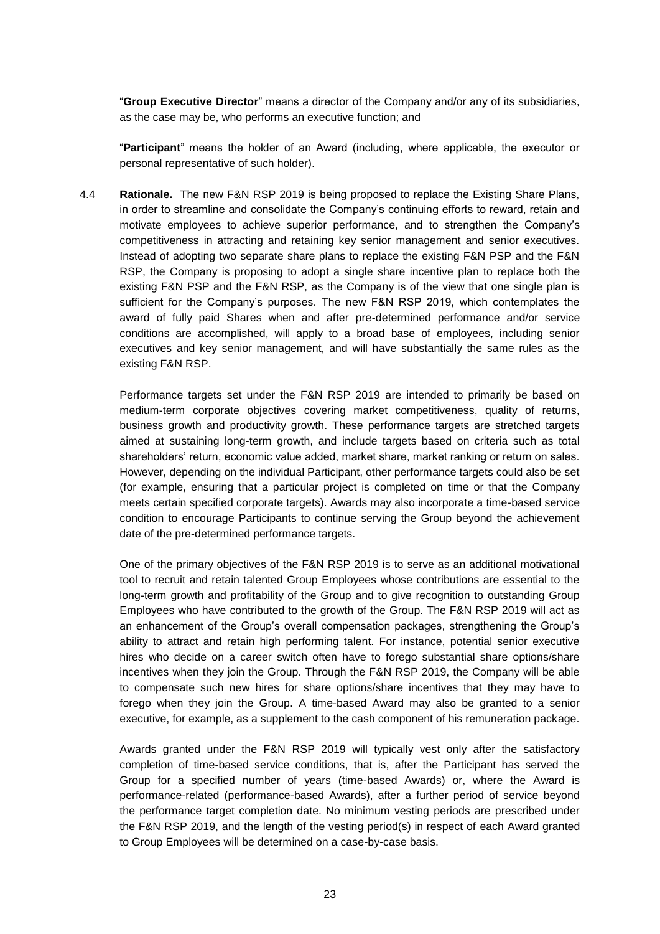"**Group Executive Director**" means a director of the Company and/or any of its subsidiaries, as the case may be, who performs an executive function; and

"**Participant**" means the holder of an Award (including, where applicable, the executor or personal representative of such holder).

4.4 **Rationale.** The new F&N RSP 2019 is being proposed to replace the Existing Share Plans, in order to streamline and consolidate the Company's continuing efforts to reward, retain and motivate employees to achieve superior performance, and to strengthen the Company's competitiveness in attracting and retaining key senior management and senior executives. Instead of adopting two separate share plans to replace the existing F&N PSP and the F&N RSP, the Company is proposing to adopt a single share incentive plan to replace both the existing F&N PSP and the F&N RSP, as the Company is of the view that one single plan is sufficient for the Company's purposes. The new F&N RSP 2019, which contemplates the award of fully paid Shares when and after pre-determined performance and/or service conditions are accomplished, will apply to a broad base of employees, including senior executives and key senior management, and will have substantially the same rules as the existing F&N RSP.

Performance targets set under the F&N RSP 2019 are intended to primarily be based on medium-term corporate objectives covering market competitiveness, quality of returns, business growth and productivity growth. These performance targets are stretched targets aimed at sustaining long-term growth, and include targets based on criteria such as total shareholders' return, economic value added, market share, market ranking or return on sales. However, depending on the individual Participant, other performance targets could also be set (for example, ensuring that a particular project is completed on time or that the Company meets certain specified corporate targets). Awards may also incorporate a time-based service condition to encourage Participants to continue serving the Group beyond the achievement date of the pre-determined performance targets.

One of the primary objectives of the F&N RSP 2019 is to serve as an additional motivational tool to recruit and retain talented Group Employees whose contributions are essential to the long-term growth and profitability of the Group and to give recognition to outstanding Group Employees who have contributed to the growth of the Group. The F&N RSP 2019 will act as an enhancement of the Group's overall compensation packages, strengthening the Group's ability to attract and retain high performing talent. For instance, potential senior executive hires who decide on a career switch often have to forego substantial share options/share incentives when they join the Group. Through the F&N RSP 2019, the Company will be able to compensate such new hires for share options/share incentives that they may have to forego when they join the Group. A time-based Award may also be granted to a senior executive, for example, as a supplement to the cash component of his remuneration package.

Awards granted under the F&N RSP 2019 will typically vest only after the satisfactory completion of time-based service conditions, that is, after the Participant has served the Group for a specified number of years (time-based Awards) or, where the Award is performance-related (performance-based Awards), after a further period of service beyond the performance target completion date. No minimum vesting periods are prescribed under the F&N RSP 2019, and the length of the vesting period(s) in respect of each Award granted to Group Employees will be determined on a case-by-case basis.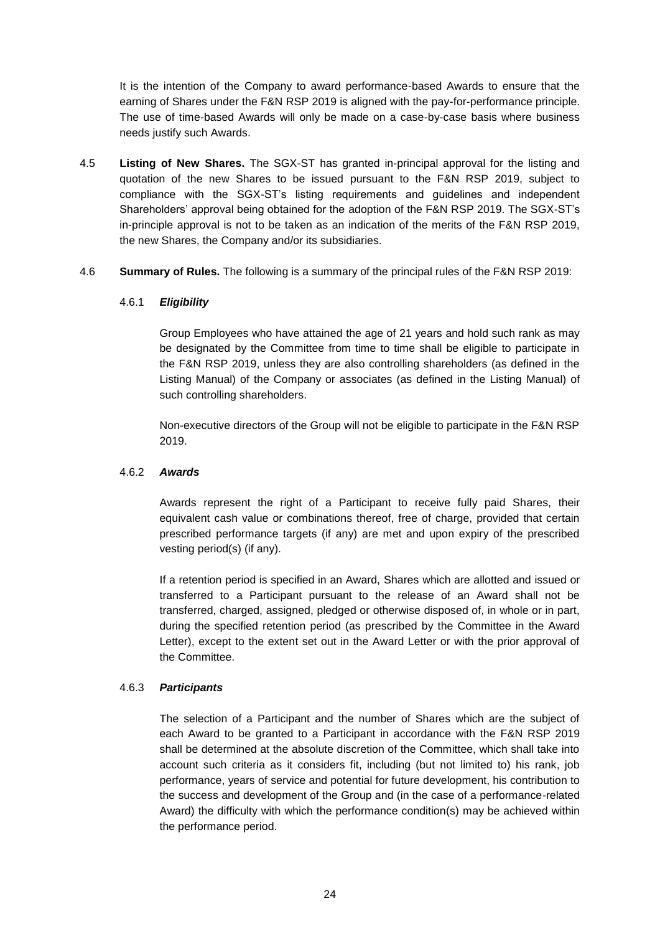It is the intention of the Company to award performance-based Awards to ensure that the earning of Shares under the F&N RSP 2019 is aligned with the pay-for-performance principle. The use of time-based Awards will only be made on a case-by-case basis where business needs justify such Awards.

- 4.5 **Listing of New Shares.** The SGX-ST has granted in-principal approval for the listing and quotation of the new Shares to be issued pursuant to the F&N RSP 2019, subject to compliance with the SGX-ST's listing requirements and guidelines and independent Shareholders' approval being obtained for the adoption of the F&N RSP 2019. The SGX-ST's in-principle approval is not to be taken as an indication of the merits of the F&N RSP 2019, the new Shares, the Company and/or its subsidiaries.
- 4.6 **Summary of Rules.** The following is a summary of the principal rules of the F&N RSP 2019:

# 4.6.1 *Eligibility*

Group Employees who have attained the age of 21 years and hold such rank as may be designated by the Committee from time to time shall be eligible to participate in the F&N RSP 2019, unless they are also controlling shareholders (as defined in the Listing Manual) of the Company or associates (as defined in the Listing Manual) of such controlling shareholders.

Non-executive directors of the Group will not be eligible to participate in the F&N RSP 2019.

#### 4.6.2 *Awards*

Awards represent the right of a Participant to receive fully paid Shares, their equivalent cash value or combinations thereof, free of charge, provided that certain prescribed performance targets (if any) are met and upon expiry of the prescribed vesting period(s) (if any).

If a retention period is specified in an Award, Shares which are allotted and issued or transferred to a Participant pursuant to the release of an Award shall not be transferred, charged, assigned, pledged or otherwise disposed of, in whole or in part, during the specified retention period (as prescribed by the Committee in the Award Letter), except to the extent set out in the Award Letter or with the prior approval of the Committee.

# 4.6.3 *Participants*

The selection of a Participant and the number of Shares which are the subject of each Award to be granted to a Participant in accordance with the F&N RSP 2019 shall be determined at the absolute discretion of the Committee, which shall take into account such criteria as it considers fit, including (but not limited to) his rank, job performance, years of service and potential for future development, his contribution to the success and development of the Group and (in the case of a performance-related Award) the difficulty with which the performance condition(s) may be achieved within the performance period.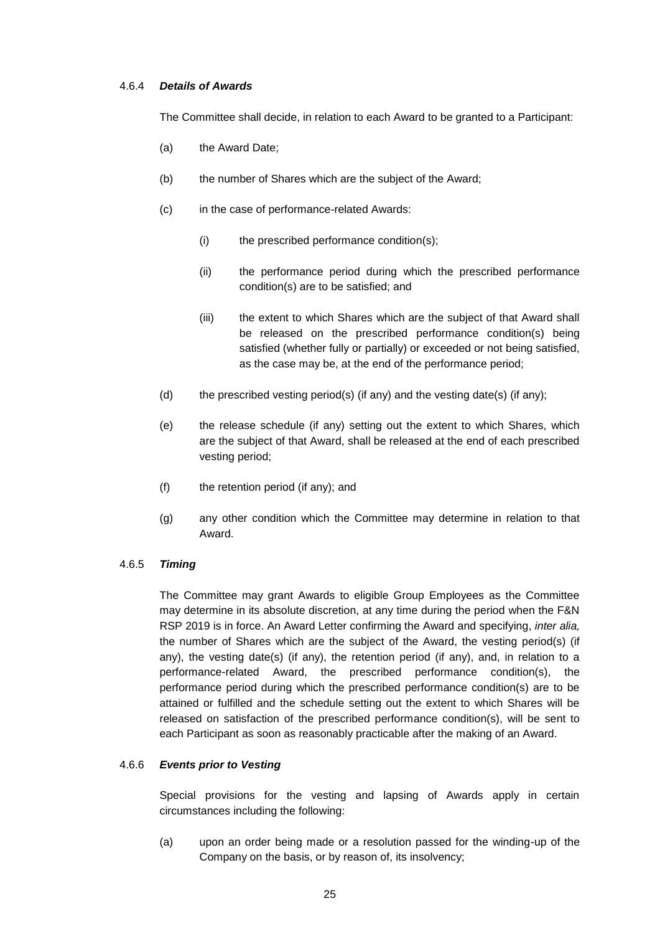# 4.6.4 *Details of Awards*

The Committee shall decide, in relation to each Award to be granted to a Participant:

- (a) the Award Date;
- (b) the number of Shares which are the subject of the Award;
- (c) in the case of performance-related Awards:
	- (i) the prescribed performance condition(s);
	- (ii) the performance period during which the prescribed performance condition(s) are to be satisfied; and
	- (iii) the extent to which Shares which are the subject of that Award shall be released on the prescribed performance condition(s) being satisfied (whether fully or partially) or exceeded or not being satisfied, as the case may be, at the end of the performance period;
- (d) the prescribed vesting period(s) (if any) and the vesting date(s) (if any);
- (e) the release schedule (if any) setting out the extent to which Shares, which are the subject of that Award, shall be released at the end of each prescribed vesting period;
- (f) the retention period (if any); and
- (g) any other condition which the Committee may determine in relation to that Award.

#### 4.6.5 *Timing*

The Committee may grant Awards to eligible Group Employees as the Committee may determine in its absolute discretion, at any time during the period when the F&N RSP 2019 is in force. An Award Letter confirming the Award and specifying, *inter alia,* the number of Shares which are the subject of the Award, the vesting period(s) (if any), the vesting date(s) (if any), the retention period (if any), and, in relation to a performance-related Award, the prescribed performance condition(s), the performance period during which the prescribed performance condition(s) are to be attained or fulfilled and the schedule setting out the extent to which Shares will be released on satisfaction of the prescribed performance condition(s), will be sent to each Participant as soon as reasonably practicable after the making of an Award.

#### 4.6.6 *Events prior to Vesting*

Special provisions for the vesting and lapsing of Awards apply in certain circumstances including the following:

(a) upon an order being made or a resolution passed for the winding-up of the Company on the basis, or by reason of, its insolvency;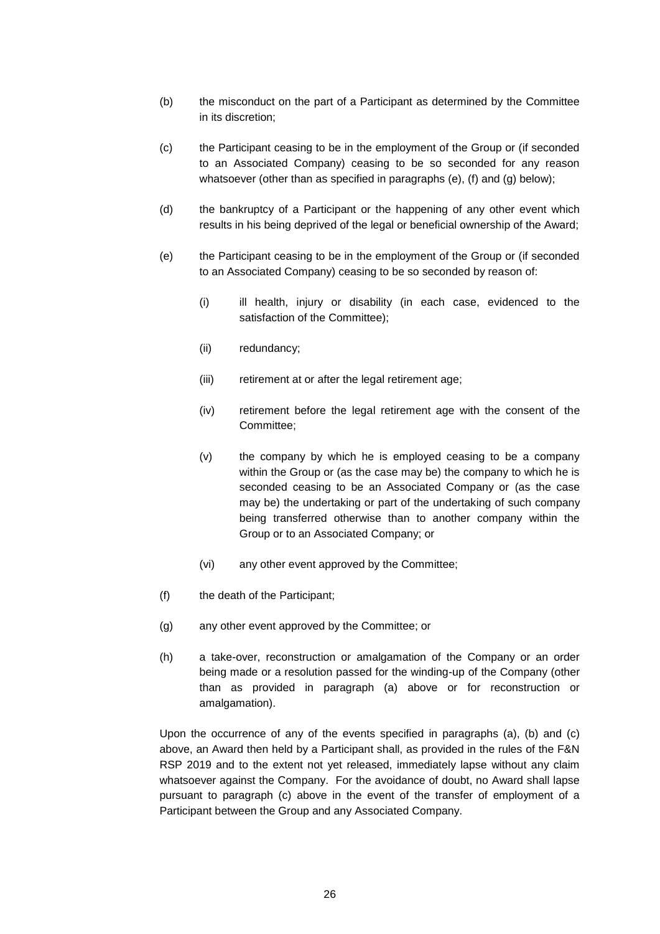- (b) the misconduct on the part of a Participant as determined by the Committee in its discretion;
- (c) the Participant ceasing to be in the employment of the Group or (if seconded to an Associated Company) ceasing to be so seconded for any reason whatsoever (other than as specified in paragraphs (e), (f) and (g) below);
- (d) the bankruptcy of a Participant or the happening of any other event which results in his being deprived of the legal or beneficial ownership of the Award;
- (e) the Participant ceasing to be in the employment of the Group or (if seconded to an Associated Company) ceasing to be so seconded by reason of:
	- (i) ill health, injury or disability (in each case, evidenced to the satisfaction of the Committee);
	- (ii) redundancy;
	- (iii) retirement at or after the legal retirement age;
	- (iv) retirement before the legal retirement age with the consent of the Committee;
	- (v) the company by which he is employed ceasing to be a company within the Group or (as the case may be) the company to which he is seconded ceasing to be an Associated Company or (as the case may be) the undertaking or part of the undertaking of such company being transferred otherwise than to another company within the Group or to an Associated Company; or
	- (vi) any other event approved by the Committee;
- (f) the death of the Participant;
- (g) any other event approved by the Committee; or
- (h) a take-over, reconstruction or amalgamation of the Company or an order being made or a resolution passed for the winding-up of the Company (other than as provided in paragraph (a) above or for reconstruction or amalgamation).

Upon the occurrence of any of the events specified in paragraphs (a), (b) and (c) above, an Award then held by a Participant shall, as provided in the rules of the F&N RSP 2019 and to the extent not yet released, immediately lapse without any claim whatsoever against the Company. For the avoidance of doubt, no Award shall lapse pursuant to paragraph (c) above in the event of the transfer of employment of a Participant between the Group and any Associated Company.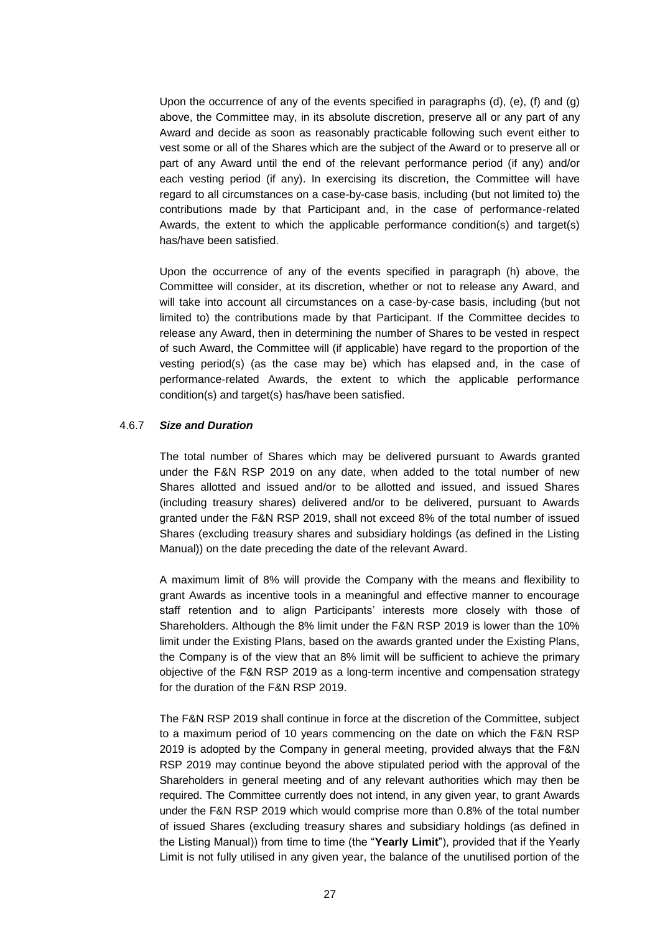Upon the occurrence of any of the events specified in paragraphs (d), (e), (f) and (g) above, the Committee may, in its absolute discretion, preserve all or any part of any Award and decide as soon as reasonably practicable following such event either to vest some or all of the Shares which are the subject of the Award or to preserve all or part of any Award until the end of the relevant performance period (if any) and/or each vesting period (if any). In exercising its discretion, the Committee will have regard to all circumstances on a case-by-case basis, including (but not limited to) the contributions made by that Participant and, in the case of performance-related Awards, the extent to which the applicable performance condition(s) and target(s) has/have been satisfied.

Upon the occurrence of any of the events specified in paragraph (h) above, the Committee will consider, at its discretion, whether or not to release any Award, and will take into account all circumstances on a case-by-case basis, including (but not limited to) the contributions made by that Participant. If the Committee decides to release any Award, then in determining the number of Shares to be vested in respect of such Award, the Committee will (if applicable) have regard to the proportion of the vesting period(s) (as the case may be) which has elapsed and, in the case of performance-related Awards, the extent to which the applicable performance condition(s) and target(s) has/have been satisfied.

#### 4.6.7 *Size and Duration*

The total number of Shares which may be delivered pursuant to Awards granted under the F&N RSP 2019 on any date, when added to the total number of new Shares allotted and issued and/or to be allotted and issued, and issued Shares (including treasury shares) delivered and/or to be delivered, pursuant to Awards granted under the F&N RSP 2019, shall not exceed 8% of the total number of issued Shares (excluding treasury shares and subsidiary holdings (as defined in the Listing Manual)) on the date preceding the date of the relevant Award.

A maximum limit of 8% will provide the Company with the means and flexibility to grant Awards as incentive tools in a meaningful and effective manner to encourage staff retention and to align Participants' interests more closely with those of Shareholders. Although the 8% limit under the F&N RSP 2019 is lower than the 10% limit under the Existing Plans, based on the awards granted under the Existing Plans, the Company is of the view that an 8% limit will be sufficient to achieve the primary objective of the F&N RSP 2019 as a long-term incentive and compensation strategy for the duration of the F&N RSP 2019.

The F&N RSP 2019 shall continue in force at the discretion of the Committee, subject to a maximum period of 10 years commencing on the date on which the F&N RSP 2019 is adopted by the Company in general meeting, provided always that the F&N RSP 2019 may continue beyond the above stipulated period with the approval of the Shareholders in general meeting and of any relevant authorities which may then be required. The Committee currently does not intend, in any given year, to grant Awards under the F&N RSP 2019 which would comprise more than 0.8% of the total number of issued Shares (excluding treasury shares and subsidiary holdings (as defined in the Listing Manual)) from time to time (the "**Yearly Limit**"), provided that if the Yearly Limit is not fully utilised in any given year, the balance of the unutilised portion of the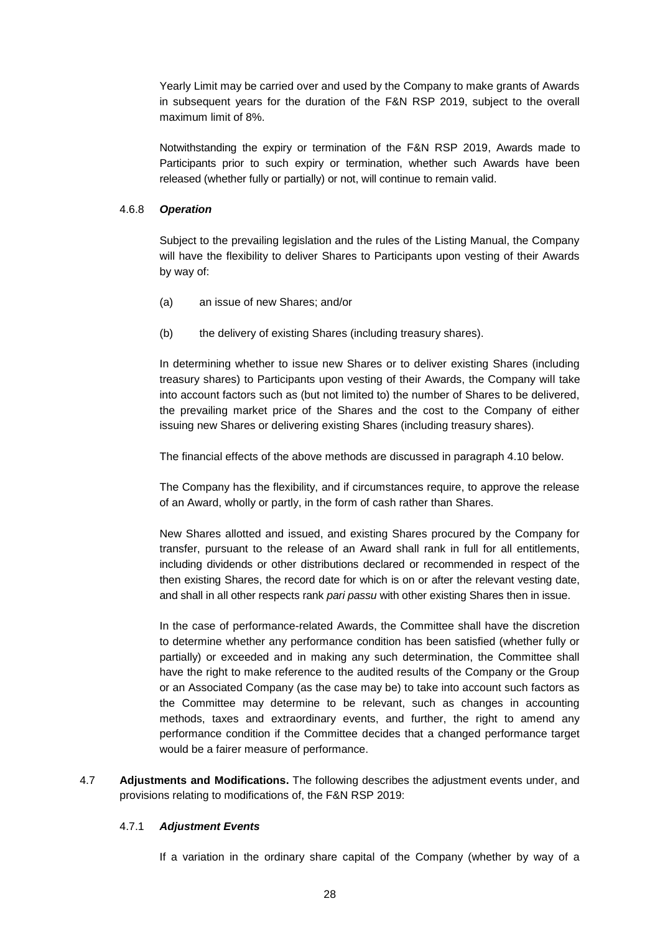Yearly Limit may be carried over and used by the Company to make grants of Awards in subsequent years for the duration of the F&N RSP 2019, subject to the overall maximum limit of 8%.

Notwithstanding the expiry or termination of the F&N RSP 2019, Awards made to Participants prior to such expiry or termination, whether such Awards have been released (whether fully or partially) or not, will continue to remain valid.

# 4.6.8 *Operation*

Subject to the prevailing legislation and the rules of the Listing Manual, the Company will have the flexibility to deliver Shares to Participants upon vesting of their Awards by way of:

- (a) an issue of new Shares; and/or
- (b) the delivery of existing Shares (including treasury shares).

In determining whether to issue new Shares or to deliver existing Shares (including treasury shares) to Participants upon vesting of their Awards, the Company will take into account factors such as (but not limited to) the number of Shares to be delivered, the prevailing market price of the Shares and the cost to the Company of either issuing new Shares or delivering existing Shares (including treasury shares).

The financial effects of the above methods are discussed in paragraph 4.10 below.

The Company has the flexibility, and if circumstances require, to approve the release of an Award, wholly or partly, in the form of cash rather than Shares.

New Shares allotted and issued, and existing Shares procured by the Company for transfer, pursuant to the release of an Award shall rank in full for all entitlements, including dividends or other distributions declared or recommended in respect of the then existing Shares, the record date for which is on or after the relevant vesting date, and shall in all other respects rank *pari passu* with other existing Shares then in issue.

In the case of performance-related Awards, the Committee shall have the discretion to determine whether any performance condition has been satisfied (whether fully or partially) or exceeded and in making any such determination, the Committee shall have the right to make reference to the audited results of the Company or the Group or an Associated Company (as the case may be) to take into account such factors as the Committee may determine to be relevant, such as changes in accounting methods, taxes and extraordinary events, and further, the right to amend any performance condition if the Committee decides that a changed performance target would be a fairer measure of performance.

4.7 **Adjustments and Modifications.** The following describes the adjustment events under, and provisions relating to modifications of, the F&N RSP 2019:

# 4.7.1 *Adjustment Events*

If a variation in the ordinary share capital of the Company (whether by way of a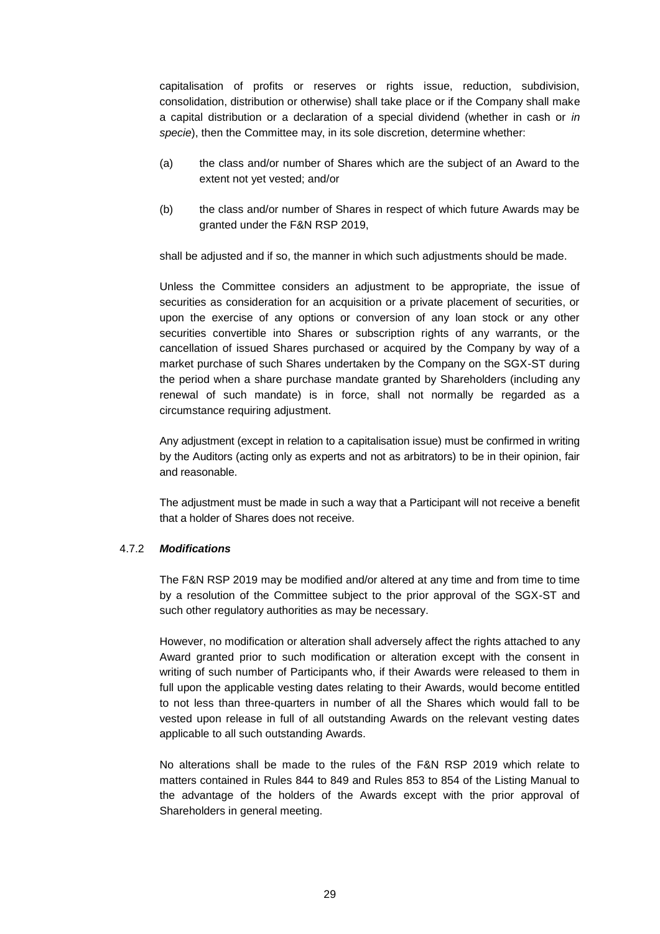capitalisation of profits or reserves or rights issue, reduction, subdivision, consolidation, distribution or otherwise) shall take place or if the Company shall make a capital distribution or a declaration of a special dividend (whether in cash or *in specie*), then the Committee may, in its sole discretion, determine whether:

- (a) the class and/or number of Shares which are the subject of an Award to the extent not yet vested; and/or
- (b) the class and/or number of Shares in respect of which future Awards may be granted under the F&N RSP 2019,

shall be adjusted and if so, the manner in which such adjustments should be made.

Unless the Committee considers an adjustment to be appropriate, the issue of securities as consideration for an acquisition or a private placement of securities, or upon the exercise of any options or conversion of any loan stock or any other securities convertible into Shares or subscription rights of any warrants, or the cancellation of issued Shares purchased or acquired by the Company by way of a market purchase of such Shares undertaken by the Company on the SGX-ST during the period when a share purchase mandate granted by Shareholders (including any renewal of such mandate) is in force, shall not normally be regarded as a circumstance requiring adjustment.

Any adjustment (except in relation to a capitalisation issue) must be confirmed in writing by the Auditors (acting only as experts and not as arbitrators) to be in their opinion, fair and reasonable.

The adjustment must be made in such a way that a Participant will not receive a benefit that a holder of Shares does not receive.

# 4.7.2 *Modifications*

The F&N RSP 2019 may be modified and/or altered at any time and from time to time by a resolution of the Committee subject to the prior approval of the SGX-ST and such other regulatory authorities as may be necessary.

However, no modification or alteration shall adversely affect the rights attached to any Award granted prior to such modification or alteration except with the consent in writing of such number of Participants who, if their Awards were released to them in full upon the applicable vesting dates relating to their Awards, would become entitled to not less than three-quarters in number of all the Shares which would fall to be vested upon release in full of all outstanding Awards on the relevant vesting dates applicable to all such outstanding Awards.

No alterations shall be made to the rules of the F&N RSP 2019 which relate to matters contained in Rules 844 to 849 and Rules 853 to 854 of the Listing Manual to the advantage of the holders of the Awards except with the prior approval of Shareholders in general meeting.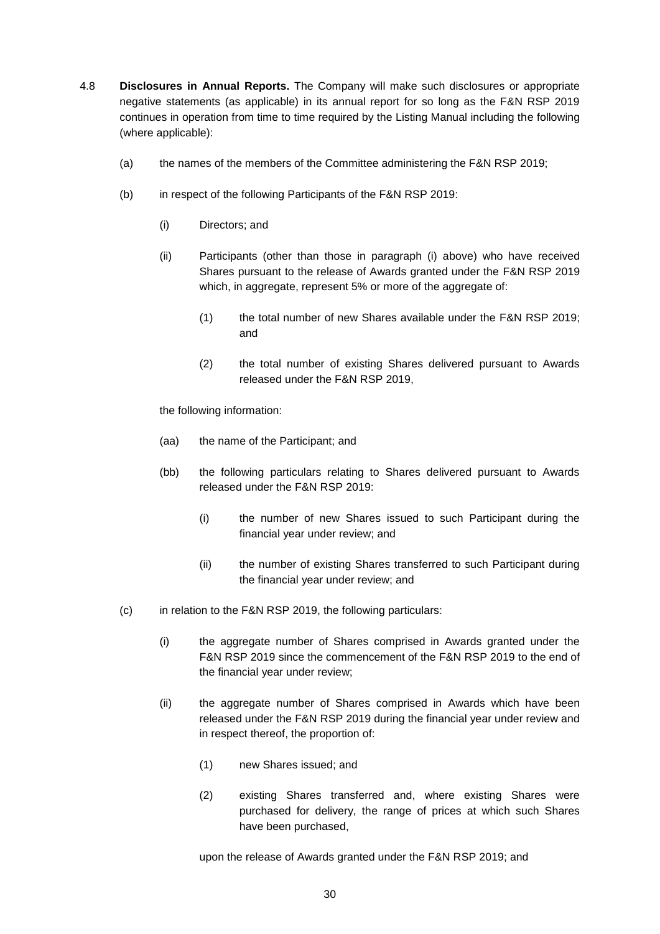- 4.8 **Disclosures in Annual Reports.** The Company will make such disclosures or appropriate negative statements (as applicable) in its annual report for so long as the F&N RSP 2019 continues in operation from time to time required by the Listing Manual including the following (where applicable):
	- (a) the names of the members of the Committee administering the F&N RSP 2019;
	- (b) in respect of the following Participants of the F&N RSP 2019:
		- (i) Directors; and
		- (ii) Participants (other than those in paragraph (i) above) who have received Shares pursuant to the release of Awards granted under the F&N RSP 2019 which, in aggregate, represent 5% or more of the aggregate of:
			- (1) the total number of new Shares available under the F&N RSP 2019; and
			- (2) the total number of existing Shares delivered pursuant to Awards released under the F&N RSP 2019,

the following information:

- (aa) the name of the Participant; and
- (bb) the following particulars relating to Shares delivered pursuant to Awards released under the F&N RSP 2019:
	- (i) the number of new Shares issued to such Participant during the financial year under review; and
	- (ii) the number of existing Shares transferred to such Participant during the financial year under review; and
- (c) in relation to the F&N RSP 2019, the following particulars:
	- (i) the aggregate number of Shares comprised in Awards granted under the F&N RSP 2019 since the commencement of the F&N RSP 2019 to the end of the financial year under review;
	- (ii) the aggregate number of Shares comprised in Awards which have been released under the F&N RSP 2019 during the financial year under review and in respect thereof, the proportion of:
		- (1) new Shares issued; and
		- (2) existing Shares transferred and, where existing Shares were purchased for delivery, the range of prices at which such Shares have been purchased,

upon the release of Awards granted under the F&N RSP 2019; and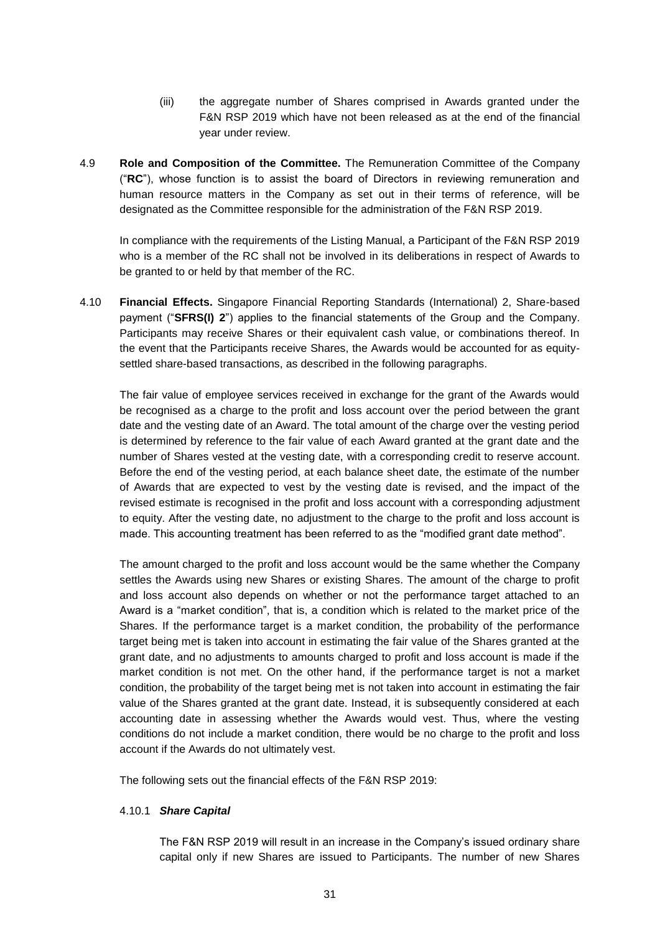- (iii) the aggregate number of Shares comprised in Awards granted under the F&N RSP 2019 which have not been released as at the end of the financial year under review.
- 4.9 **Role and Composition of the Committee.** The Remuneration Committee of the Company ("**RC**"), whose function is to assist the board of Directors in reviewing remuneration and human resource matters in the Company as set out in their terms of reference, will be designated as the Committee responsible for the administration of the F&N RSP 2019.

In compliance with the requirements of the Listing Manual, a Participant of the F&N RSP 2019 who is a member of the RC shall not be involved in its deliberations in respect of Awards to be granted to or held by that member of the RC.

4.10 **Financial Effects.** Singapore Financial Reporting Standards (International) 2, Share-based payment ("**SFRS(I) 2**") applies to the financial statements of the Group and the Company. Participants may receive Shares or their equivalent cash value, or combinations thereof. In the event that the Participants receive Shares, the Awards would be accounted for as equitysettled share-based transactions, as described in the following paragraphs.

The fair value of employee services received in exchange for the grant of the Awards would be recognised as a charge to the profit and loss account over the period between the grant date and the vesting date of an Award. The total amount of the charge over the vesting period is determined by reference to the fair value of each Award granted at the grant date and the number of Shares vested at the vesting date, with a corresponding credit to reserve account. Before the end of the vesting period, at each balance sheet date, the estimate of the number of Awards that are expected to vest by the vesting date is revised, and the impact of the revised estimate is recognised in the profit and loss account with a corresponding adjustment to equity. After the vesting date, no adjustment to the charge to the profit and loss account is made. This accounting treatment has been referred to as the "modified grant date method".

The amount charged to the profit and loss account would be the same whether the Company settles the Awards using new Shares or existing Shares. The amount of the charge to profit and loss account also depends on whether or not the performance target attached to an Award is a "market condition", that is, a condition which is related to the market price of the Shares. If the performance target is a market condition, the probability of the performance target being met is taken into account in estimating the fair value of the Shares granted at the grant date, and no adjustments to amounts charged to profit and loss account is made if the market condition is not met. On the other hand, if the performance target is not a market condition, the probability of the target being met is not taken into account in estimating the fair value of the Shares granted at the grant date. Instead, it is subsequently considered at each accounting date in assessing whether the Awards would vest. Thus, where the vesting conditions do not include a market condition, there would be no charge to the profit and loss account if the Awards do not ultimately vest.

The following sets out the financial effects of the F&N RSP 2019:

# 4.10.1 *Share Capital*

The F&N RSP 2019 will result in an increase in the Company's issued ordinary share capital only if new Shares are issued to Participants. The number of new Shares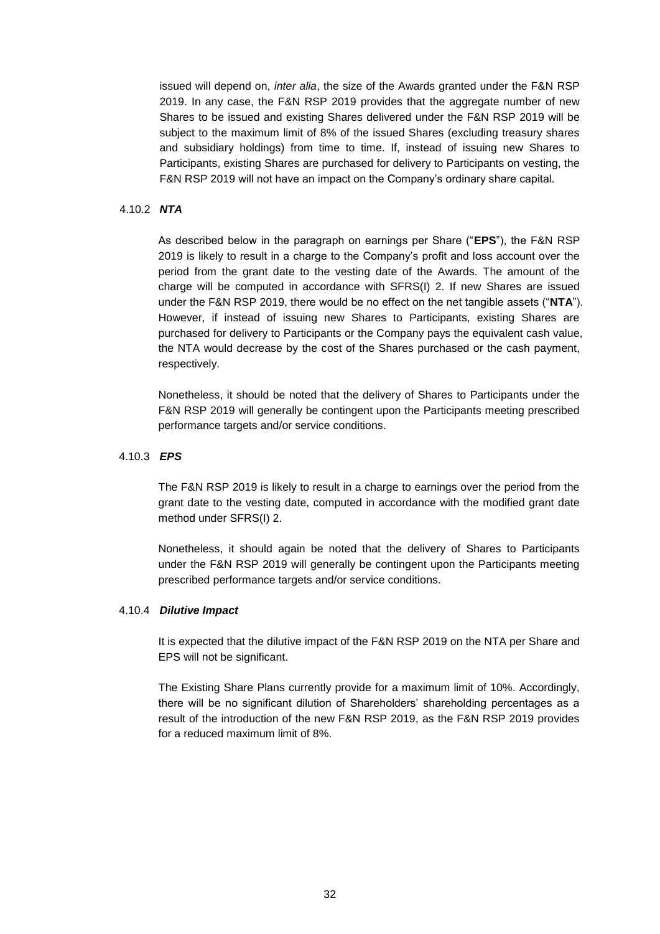issued will depend on, *inter alia*, the size of the Awards granted under the F&N RSP 2019. In any case, the F&N RSP 2019 provides that the aggregate number of new Shares to be issued and existing Shares delivered under the F&N RSP 2019 will be subject to the maximum limit of 8% of the issued Shares (excluding treasury shares and subsidiary holdings) from time to time. If, instead of issuing new Shares to Participants, existing Shares are purchased for delivery to Participants on vesting, the F&N RSP 2019 will not have an impact on the Company's ordinary share capital.

# 4.10.2 *NTA*

As described below in the paragraph on earnings per Share ("**EPS**"), the F&N RSP 2019 is likely to result in a charge to the Company's profit and loss account over the period from the grant date to the vesting date of the Awards. The amount of the charge will be computed in accordance with SFRS(I) 2. If new Shares are issued under the F&N RSP 2019, there would be no effect on the net tangible assets ("**NTA**"). However, if instead of issuing new Shares to Participants, existing Shares are purchased for delivery to Participants or the Company pays the equivalent cash value, the NTA would decrease by the cost of the Shares purchased or the cash payment, respectively.

Nonetheless, it should be noted that the delivery of Shares to Participants under the F&N RSP 2019 will generally be contingent upon the Participants meeting prescribed performance targets and/or service conditions.

# 4.10.3 *EPS*

The F&N RSP 2019 is likely to result in a charge to earnings over the period from the grant date to the vesting date, computed in accordance with the modified grant date method under SFRS(I) 2.

Nonetheless, it should again be noted that the delivery of Shares to Participants under the F&N RSP 2019 will generally be contingent upon the Participants meeting prescribed performance targets and/or service conditions.

# 4.10.4 *Dilutive Impact*

It is expected that the dilutive impact of the F&N RSP 2019 on the NTA per Share and EPS will not be significant.

The Existing Share Plans currently provide for a maximum limit of 10%. Accordingly, there will be no significant dilution of Shareholders' shareholding percentages as a result of the introduction of the new F&N RSP 2019, as the F&N RSP 2019 provides for a reduced maximum limit of 8%.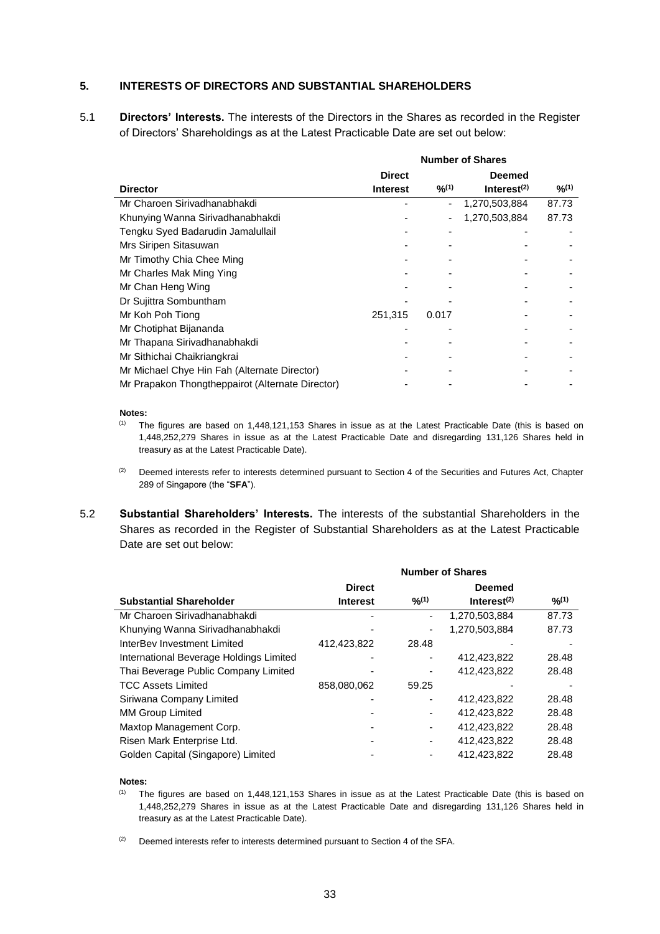## **5. INTERESTS OF DIRECTORS AND SUBSTANTIAL SHAREHOLDERS**

5.1 **Directors' Interests.** The interests of the Directors in the Shares as recorded in the Register of Directors' Shareholdings as at the Latest Practicable Date are set out below:

|                                                  | <b>Number of Shares</b> |       |                |        |
|--------------------------------------------------|-------------------------|-------|----------------|--------|
|                                                  | <b>Direct</b>           |       | <b>Deemed</b>  |        |
| <b>Director</b>                                  | <b>Interest</b>         | 9/10  | Interest $(2)$ | 9/2(1) |
| Mr Charoen Sirivadhanabhakdi                     |                         |       | 1,270,503,884  | 87.73  |
| Khunying Wanna Sirivadhanabhakdi                 |                         |       | 1,270,503,884  | 87.73  |
| Tengku Syed Badarudin Jamalullail                |                         |       |                |        |
| Mrs Siripen Sitasuwan                            |                         |       |                |        |
| Mr Timothy Chia Chee Ming                        |                         |       |                |        |
| Mr Charles Mak Ming Ying                         |                         |       |                |        |
| Mr Chan Heng Wing                                |                         |       |                |        |
| Dr Sujittra Sombuntham                           |                         |       |                |        |
| Mr Koh Poh Tiong                                 | 251,315                 | 0.017 |                |        |
| Mr Chotiphat Bijananda                           |                         |       |                |        |
| Mr Thapana Sirivadhanabhakdi                     |                         |       |                |        |
| Mr Sithichai Chaikriangkrai                      |                         |       |                |        |
| Mr Michael Chye Hin Fah (Alternate Director)     |                         |       |                |        |
| Mr Prapakon Thongtheppairot (Alternate Director) |                         |       |                |        |

#### **Notes:**

- $(1)$  The figures are based on 1,448,121,153 Shares in issue as at the Latest Practicable Date (this is based on 1,448,252,279 Shares in issue as at the Latest Practicable Date and disregarding 131,126 Shares held in treasury as at the Latest Practicable Date).
- <sup>(2)</sup> Deemed interests refer to interests determined pursuant to Section 4 of the Securities and Futures Act, Chapter 289 of Singapore (the "**SFA**").
- 5.2 **Substantial Shareholders' Interests.** The interests of the substantial Shareholders in the Shares as recorded in the Register of Substantial Shareholders as at the Latest Practicable Date are set out below:

|                                         | <b>Number of Shares</b> |        |                         |             |  |
|-----------------------------------------|-------------------------|--------|-------------------------|-------------|--|
|                                         | <b>Direct</b>           |        | <b>Deemed</b>           |             |  |
| <b>Substantial Shareholder</b>          | <b>Interest</b>         | 9/2(1) | Interest <sup>(2)</sup> | $9/0^{(1)}$ |  |
| Mr Charoen Sirivadhanabhakdi            |                         | ۰      | 1,270,503,884           | 87.73       |  |
| Khunying Wanna Sirivadhanabhakdi        |                         | ۰      | 1,270,503,884           | 87.73       |  |
| InterBey Investment Limited             | 412,423,822             | 28.48  |                         |             |  |
| International Beverage Holdings Limited |                         |        | 412.423.822             | 28.48       |  |
| Thai Beverage Public Company Limited    |                         |        | 412.423.822             | 28.48       |  |
| <b>TCC Assets Limited</b>               | 858,080,062             | 59.25  |                         |             |  |
| Siriwana Company Limited                |                         |        | 412.423.822             | 28.48       |  |
| <b>MM Group Limited</b>                 |                         |        | 412.423.822             | 28.48       |  |
| Maxtop Management Corp.                 |                         |        | 412,423,822             | 28.48       |  |
| Risen Mark Enterprise Ltd.              |                         |        | 412.423.822             | 28.48       |  |
| Golden Capital (Singapore) Limited      |                         |        | 412.423.822             | 28.48       |  |

#### **Notes:**

- (1) The figures are based on 1,448,121,153 Shares in issue as at the Latest Practicable Date (this is based on 1,448,252,279 Shares in issue as at the Latest Practicable Date and disregarding 131,126 Shares held in treasury as at the Latest Practicable Date).
- $(2)$  Deemed interests refer to interests determined pursuant to Section 4 of the SFA.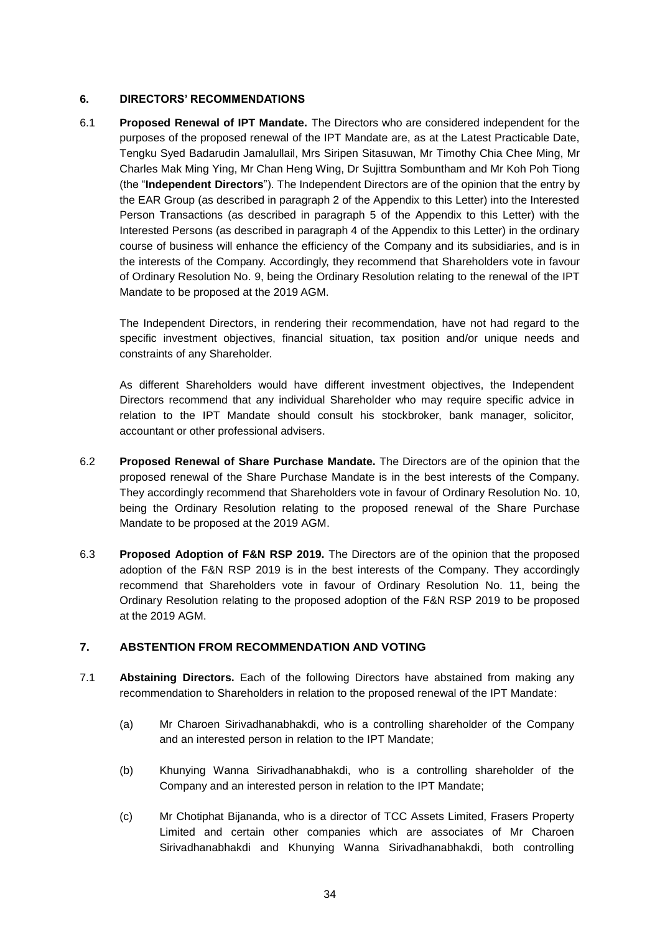# **6. DIRECTORS' RECOMMENDATIONS**

6.1 **Proposed Renewal of IPT Mandate.** The Directors who are considered independent for the purposes of the proposed renewal of the IPT Mandate are, as at the Latest Practicable Date, Tengku Syed Badarudin Jamalullail, Mrs Siripen Sitasuwan, Mr Timothy Chia Chee Ming, Mr Charles Mak Ming Ying, Mr Chan Heng Wing, Dr Sujittra Sombuntham and Mr Koh Poh Tiong (the "**Independent Directors**"). The Independent Directors are of the opinion that the entry by the EAR Group (as described in paragraph 2 of the Appendix to this Letter) into the Interested Person Transactions (as described in paragraph 5 of the Appendix to this Letter) with the Interested Persons (as described in paragraph 4 of the Appendix to this Letter) in the ordinary course of business will enhance the efficiency of the Company and its subsidiaries, and is in the interests of the Company. Accordingly, they recommend that Shareholders vote in favour of Ordinary Resolution No. 9, being the Ordinary Resolution relating to the renewal of the IPT Mandate to be proposed at the 2019 AGM.

The Independent Directors, in rendering their recommendation, have not had regard to the specific investment objectives, financial situation, tax position and/or unique needs and constraints of any Shareholder.

As different Shareholders would have different investment objectives, the Independent Directors recommend that any individual Shareholder who may require specific advice in relation to the IPT Mandate should consult his stockbroker, bank manager, solicitor, accountant or other professional advisers.

- 6.2 **Proposed Renewal of Share Purchase Mandate.** The Directors are of the opinion that the proposed renewal of the Share Purchase Mandate is in the best interests of the Company. They accordingly recommend that Shareholders vote in favour of Ordinary Resolution No. 10, being the Ordinary Resolution relating to the proposed renewal of the Share Purchase Mandate to be proposed at the 2019 AGM.
- 6.3 **Proposed Adoption of F&N RSP 2019.** The Directors are of the opinion that the proposed adoption of the F&N RSP 2019 is in the best interests of the Company. They accordingly recommend that Shareholders vote in favour of Ordinary Resolution No. 11, being the Ordinary Resolution relating to the proposed adoption of the F&N RSP 2019 to be proposed at the 2019 AGM.

# **7. ABSTENTION FROM RECOMMENDATION AND VOTING**

- 7.1 **Abstaining Directors.** Each of the following Directors have abstained from making any recommendation to Shareholders in relation to the proposed renewal of the IPT Mandate:
	- (a) Mr Charoen Sirivadhanabhakdi, who is a controlling shareholder of the Company and an interested person in relation to the IPT Mandate;
	- (b) Khunying Wanna Sirivadhanabhakdi, who is a controlling shareholder of the Company and an interested person in relation to the IPT Mandate;
	- (c) Mr Chotiphat Bijananda, who is a director of TCC Assets Limited, Frasers Property Limited and certain other companies which are associates of Mr Charoen Sirivadhanabhakdi and Khunying Wanna Sirivadhanabhakdi, both controlling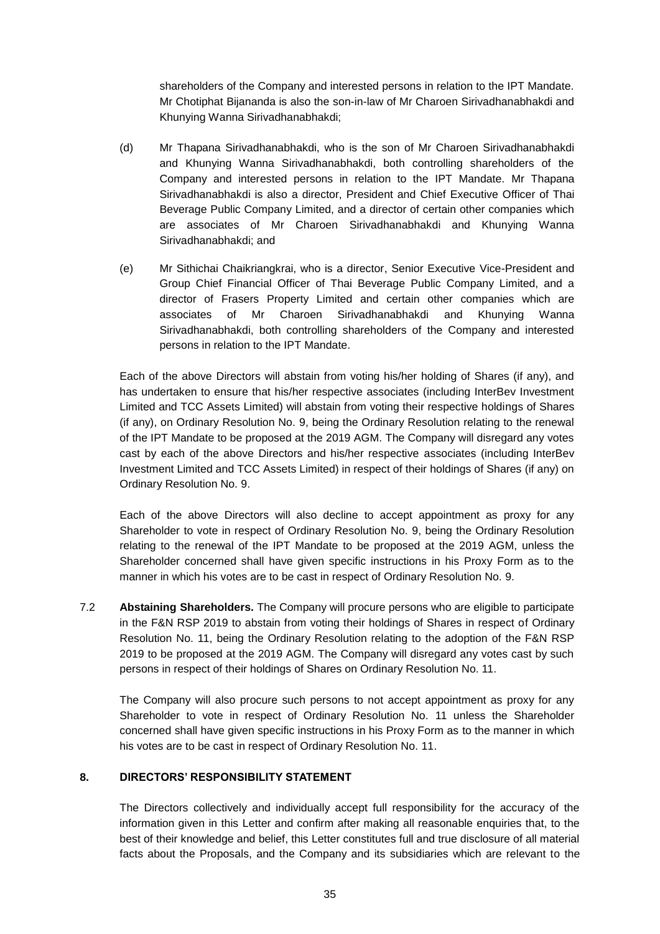shareholders of the Company and interested persons in relation to the IPT Mandate. Mr Chotiphat Bijananda is also the son-in-law of Mr Charoen Sirivadhanabhakdi and Khunying Wanna Sirivadhanabhakdi;

- (d) Mr Thapana Sirivadhanabhakdi, who is the son of Mr Charoen Sirivadhanabhakdi and Khunying Wanna Sirivadhanabhakdi, both controlling shareholders of the Company and interested persons in relation to the IPT Mandate. Mr Thapana Sirivadhanabhakdi is also a director, President and Chief Executive Officer of Thai Beverage Public Company Limited, and a director of certain other companies which are associates of Mr Charoen Sirivadhanabhakdi and Khunying Wanna Sirivadhanabhakdi; and
- (e) Mr Sithichai Chaikriangkrai, who is a director, Senior Executive Vice-President and Group Chief Financial Officer of Thai Beverage Public Company Limited, and a director of Frasers Property Limited and certain other companies which are associates of Mr Charoen Sirivadhanabhakdi and Khunying Wanna Sirivadhanabhakdi, both controlling shareholders of the Company and interested persons in relation to the IPT Mandate.

Each of the above Directors will abstain from voting his/her holding of Shares (if any), and has undertaken to ensure that his/her respective associates (including InterBev Investment Limited and TCC Assets Limited) will abstain from voting their respective holdings of Shares (if any), on Ordinary Resolution No. 9, being the Ordinary Resolution relating to the renewal of the IPT Mandate to be proposed at the 2019 AGM. The Company will disregard any votes cast by each of the above Directors and his/her respective associates (including InterBev Investment Limited and TCC Assets Limited) in respect of their holdings of Shares (if any) on Ordinary Resolution No. 9.

Each of the above Directors will also decline to accept appointment as proxy for any Shareholder to vote in respect of Ordinary Resolution No. 9, being the Ordinary Resolution relating to the renewal of the IPT Mandate to be proposed at the 2019 AGM, unless the Shareholder concerned shall have given specific instructions in his Proxy Form as to the manner in which his votes are to be cast in respect of Ordinary Resolution No. 9.

7.2 **Abstaining Shareholders.** The Company will procure persons who are eligible to participate in the F&N RSP 2019 to abstain from voting their holdings of Shares in respect of Ordinary Resolution No. 11, being the Ordinary Resolution relating to the adoption of the F&N RSP 2019 to be proposed at the 2019 AGM. The Company will disregard any votes cast by such persons in respect of their holdings of Shares on Ordinary Resolution No. 11.

The Company will also procure such persons to not accept appointment as proxy for any Shareholder to vote in respect of Ordinary Resolution No. 11 unless the Shareholder concerned shall have given specific instructions in his Proxy Form as to the manner in which his votes are to be cast in respect of Ordinary Resolution No. 11.

# **8. DIRECTORS' RESPONSIBILITY STATEMENT**

The Directors collectively and individually accept full responsibility for the accuracy of the information given in this Letter and confirm after making all reasonable enquiries that, to the best of their knowledge and belief, this Letter constitutes full and true disclosure of all material facts about the Proposals, and the Company and its subsidiaries which are relevant to the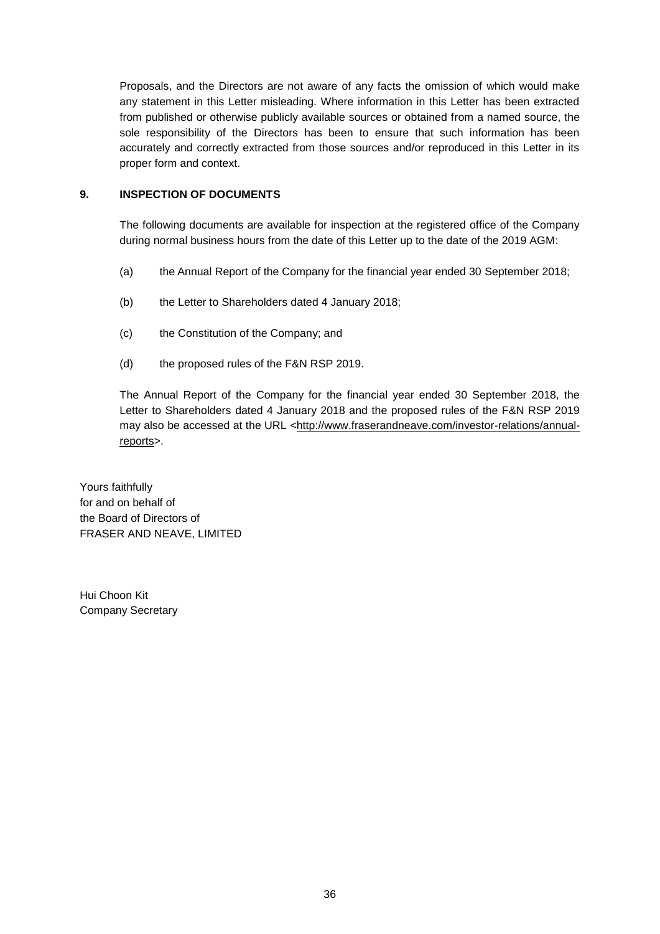Proposals, and the Directors are not aware of any facts the omission of which would make any statement in this Letter misleading. Where information in this Letter has been extracted from published or otherwise publicly available sources or obtained from a named source, the sole responsibility of the Directors has been to ensure that such information has been accurately and correctly extracted from those sources and/or reproduced in this Letter in its proper form and context.

# **9. INSPECTION OF DOCUMENTS**

The following documents are available for inspection at the registered office of the Company during normal business hours from the date of this Letter up to the date of the 2019 AGM:

- (a) the Annual Report of the Company for the financial year ended 30 September 2018;
- (b) the Letter to Shareholders dated 4 January 2018;
- (c) the Constitution of the Company; and
- (d) the proposed rules of the F&N RSP 2019.

The Annual Report of the Company for the financial year ended 30 September 2018, the Letter to Shareholders dated 4 January 2018 and the proposed rules of the F&N RSP 2019 may also be accessed at the URL <http://www.fraserandneave.com/investor-relations/annualreports>.

Yours faithfully for and on behalf of the Board of Directors of FRASER AND NEAVE, LIMITED

Hui Choon Kit Company Secretary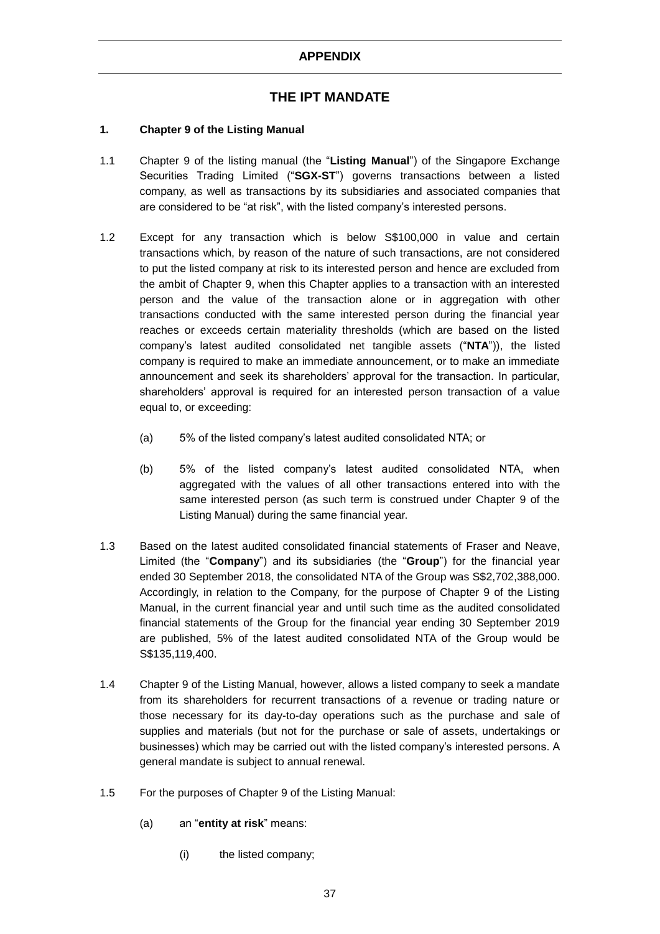# **THE IPT MANDATE**

# **1. Chapter 9 of the Listing Manual**

- 1.1 Chapter 9 of the listing manual (the "**Listing Manual**") of the Singapore Exchange Securities Trading Limited ("**SGX-ST**") governs transactions between a listed company, as well as transactions by its subsidiaries and associated companies that are considered to be "at risk", with the listed company's interested persons.
- 1.2 Except for any transaction which is below S\$100,000 in value and certain transactions which, by reason of the nature of such transactions, are not considered to put the listed company at risk to its interested person and hence are excluded from the ambit of Chapter 9, when this Chapter applies to a transaction with an interested person and the value of the transaction alone or in aggregation with other transactions conducted with the same interested person during the financial year reaches or exceeds certain materiality thresholds (which are based on the listed company's latest audited consolidated net tangible assets ("**NTA**")), the listed company is required to make an immediate announcement, or to make an immediate announcement and seek its shareholders' approval for the transaction. In particular, shareholders' approval is required for an interested person transaction of a value equal to, or exceeding:
	- (a) 5% of the listed company's latest audited consolidated NTA; or
	- (b) 5% of the listed company's latest audited consolidated NTA, when aggregated with the values of all other transactions entered into with the same interested person (as such term is construed under Chapter 9 of the Listing Manual) during the same financial year.
- 1.3 Based on the latest audited consolidated financial statements of Fraser and Neave, Limited (the "**Company**") and its subsidiaries (the "**Group**") for the financial year ended 30 September 2018, the consolidated NTA of the Group was S\$2,702,388,000. Accordingly, in relation to the Company, for the purpose of Chapter 9 of the Listing Manual, in the current financial year and until such time as the audited consolidated financial statements of the Group for the financial year ending 30 September 2019 are published, 5% of the latest audited consolidated NTA of the Group would be S\$135,119,400.
- 1.4 Chapter 9 of the Listing Manual, however, allows a listed company to seek a mandate from its shareholders for recurrent transactions of a revenue or trading nature or those necessary for its day-to-day operations such as the purchase and sale of supplies and materials (but not for the purchase or sale of assets, undertakings or businesses) which may be carried out with the listed company's interested persons. A general mandate is subject to annual renewal.
- 1.5 For the purposes of Chapter 9 of the Listing Manual:
	- (a) an "**entity at risk**" means:
		- (i) the listed company;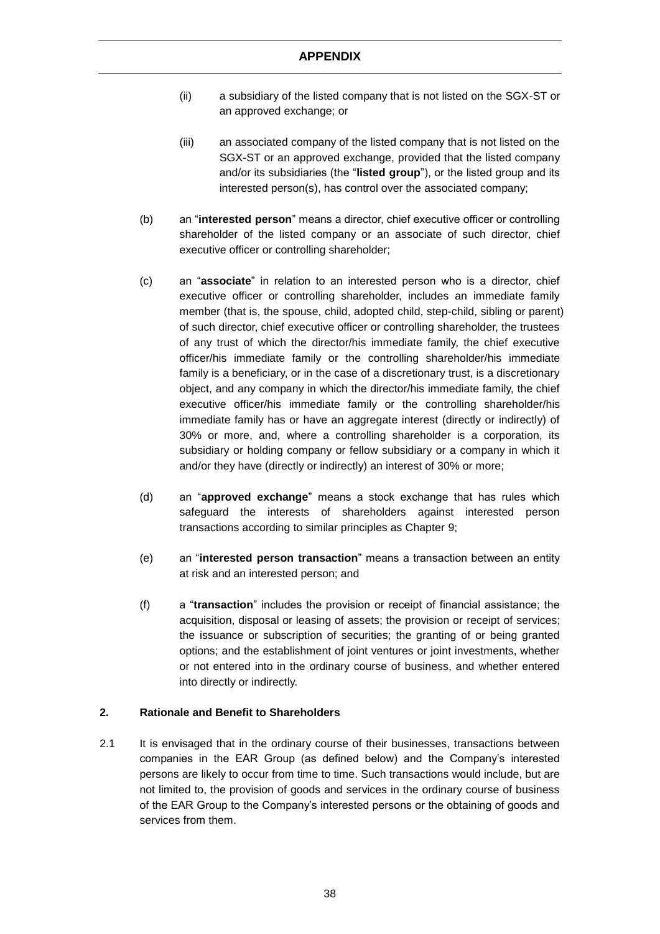- (ii) a subsidiary of the listed company that is not listed on the SGX-ST or an approved exchange; or
- (iii) an associated company of the listed company that is not listed on the SGX-ST or an approved exchange, provided that the listed company and/or its subsidiaries (the "**listed group**"), or the listed group and its interested person(s), has control over the associated company;
- (b) an "**interested person**" means a director, chief executive officer or controlling shareholder of the listed company or an associate of such director, chief executive officer or controlling shareholder;
- (c) an "**associate**" in relation to an interested person who is a director, chief executive officer or controlling shareholder, includes an immediate family member (that is, the spouse, child, adopted child, step-child, sibling or parent) of such director, chief executive officer or controlling shareholder, the trustees of any trust of which the director/his immediate family, the chief executive officer/his immediate family or the controlling shareholder/his immediate family is a beneficiary, or in the case of a discretionary trust, is a discretionary object, and any company in which the director/his immediate family, the chief executive officer/his immediate family or the controlling shareholder/his immediate family has or have an aggregate interest (directly or indirectly) of 30% or more, and, where a controlling shareholder is a corporation, its subsidiary or holding company or fellow subsidiary or a company in which it and/or they have (directly or indirectly) an interest of 30% or more;
- (d) an "**approved exchange**" means a stock exchange that has rules which safeguard the interests of shareholders against interested person transactions according to similar principles as Chapter 9;
- (e) an "**interested person transaction**" means a transaction between an entity at risk and an interested person; and
- (f) a "**transaction**" includes the provision or receipt of financial assistance; the acquisition, disposal or leasing of assets; the provision or receipt of services; the issuance or subscription of securities; the granting of or being granted options; and the establishment of joint ventures or joint investments, whether or not entered into in the ordinary course of business, and whether entered into directly or indirectly.

# **2. Rationale and Benefit to Shareholders**

2.1 It is envisaged that in the ordinary course of their businesses, transactions between companies in the EAR Group (as defined below) and the Company's interested persons are likely to occur from time to time. Such transactions would include, but are not limited to, the provision of goods and services in the ordinary course of business of the EAR Group to the Company's interested persons or the obtaining of goods and services from them.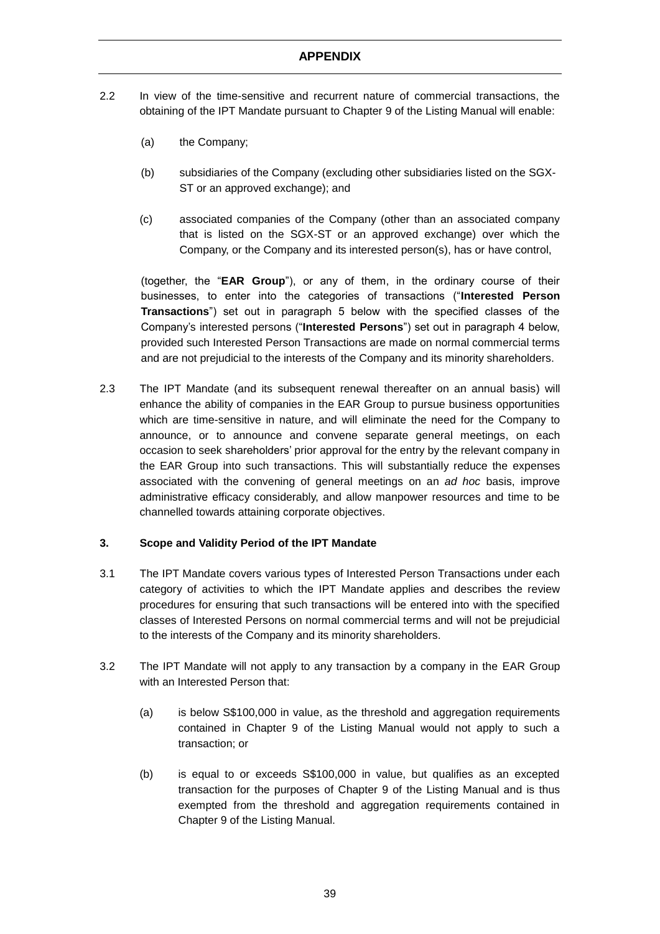- 2.2 In view of the time-sensitive and recurrent nature of commercial transactions, the obtaining of the IPT Mandate pursuant to Chapter 9 of the Listing Manual will enable:
	- (a) the Company;
	- (b) subsidiaries of the Company (excluding other subsidiaries listed on the SGX-ST or an approved exchange); and
	- (c) associated companies of the Company (other than an associated company that is listed on the SGX-ST or an approved exchange) over which the Company, or the Company and its interested person(s), has or have control,

(together, the "**EAR Group**"), or any of them, in the ordinary course of their businesses, to enter into the categories of transactions ("**Interested Person Transactions**") set out in paragraph 5 below with the specified classes of the Company's interested persons ("**Interested Persons**") set out in paragraph 4 below, provided such Interested Person Transactions are made on normal commercial terms and are not prejudicial to the interests of the Company and its minority shareholders.

2.3 The IPT Mandate (and its subsequent renewal thereafter on an annual basis) will enhance the ability of companies in the EAR Group to pursue business opportunities which are time-sensitive in nature, and will eliminate the need for the Company to announce, or to announce and convene separate general meetings, on each occasion to seek shareholders' prior approval for the entry by the relevant company in the EAR Group into such transactions. This will substantially reduce the expenses associated with the convening of general meetings on an *ad hoc* basis, improve administrative efficacy considerably, and allow manpower resources and time to be channelled towards attaining corporate objectives.

# **3. Scope and Validity Period of the IPT Mandate**

- 3.1 The IPT Mandate covers various types of Interested Person Transactions under each category of activities to which the IPT Mandate applies and describes the review procedures for ensuring that such transactions will be entered into with the specified classes of Interested Persons on normal commercial terms and will not be prejudicial to the interests of the Company and its minority shareholders.
- 3.2 The IPT Mandate will not apply to any transaction by a company in the EAR Group with an Interested Person that:
	- (a) is below S\$100,000 in value, as the threshold and aggregation requirements contained in Chapter 9 of the Listing Manual would not apply to such a transaction; or
	- (b) is equal to or exceeds S\$100,000 in value, but qualifies as an excepted transaction for the purposes of Chapter 9 of the Listing Manual and is thus exempted from the threshold and aggregation requirements contained in Chapter 9 of the Listing Manual.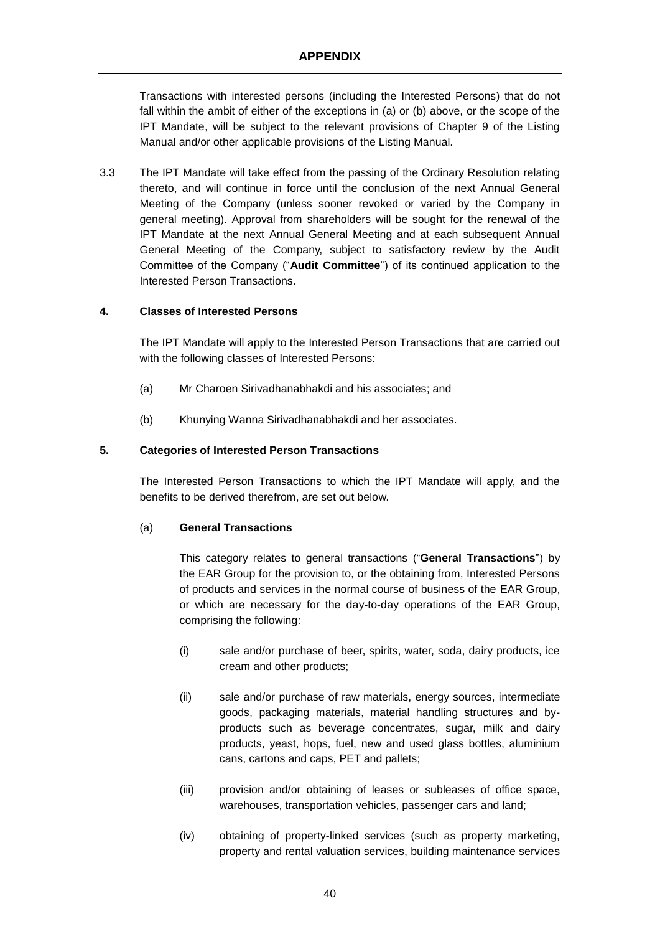Transactions with interested persons (including the Interested Persons) that do not fall within the ambit of either of the exceptions in (a) or (b) above, or the scope of the IPT Mandate, will be subject to the relevant provisions of Chapter 9 of the Listing Manual and/or other applicable provisions of the Listing Manual.

3.3 The IPT Mandate will take effect from the passing of the Ordinary Resolution relating thereto, and will continue in force until the conclusion of the next Annual General Meeting of the Company (unless sooner revoked or varied by the Company in general meeting). Approval from shareholders will be sought for the renewal of the IPT Mandate at the next Annual General Meeting and at each subsequent Annual General Meeting of the Company, subject to satisfactory review by the Audit Committee of the Company ("**Audit Committee**") of its continued application to the Interested Person Transactions.

## **4. Classes of Interested Persons**

The IPT Mandate will apply to the Interested Person Transactions that are carried out with the following classes of Interested Persons:

- (a) Mr Charoen Sirivadhanabhakdi and his associates; and
- (b) Khunying Wanna Sirivadhanabhakdi and her associates.

## **5. Categories of Interested Person Transactions**

The Interested Person Transactions to which the IPT Mandate will apply, and the benefits to be derived therefrom, are set out below.

## (a) **General Transactions**

This category relates to general transactions ("**General Transactions**") by the EAR Group for the provision to, or the obtaining from, Interested Persons of products and services in the normal course of business of the EAR Group, or which are necessary for the day-to-day operations of the EAR Group, comprising the following:

- (i) sale and/or purchase of beer, spirits, water, soda, dairy products, ice cream and other products;
- (ii) sale and/or purchase of raw materials, energy sources, intermediate goods, packaging materials, material handling structures and byproducts such as beverage concentrates, sugar, milk and dairy products, yeast, hops, fuel, new and used glass bottles, aluminium cans, cartons and caps, PET and pallets;
- (iii) provision and/or obtaining of leases or subleases of office space, warehouses, transportation vehicles, passenger cars and land;
- (iv) obtaining of property-linked services (such as property marketing, property and rental valuation services, building maintenance services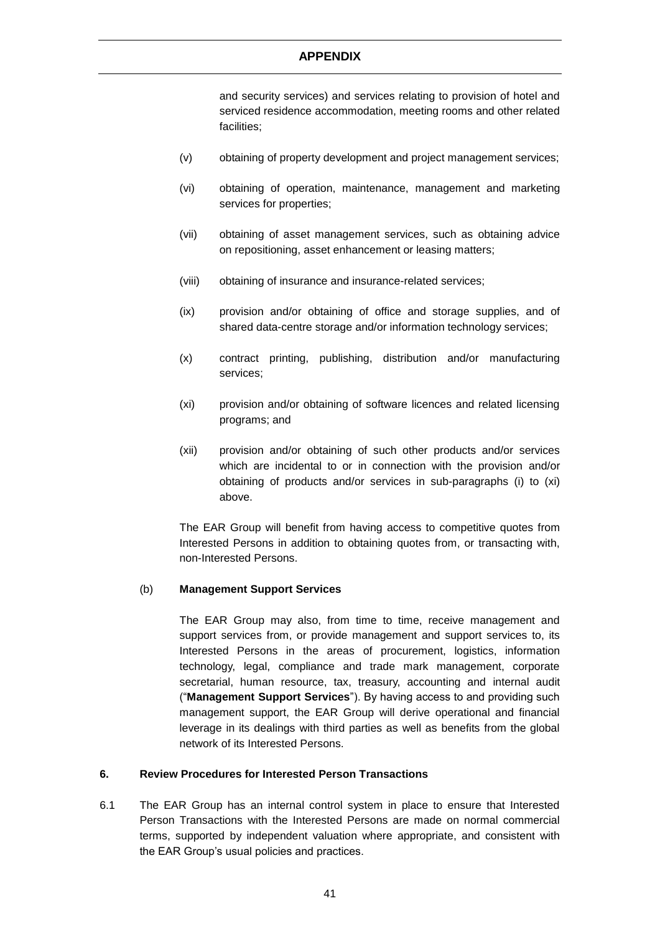and security services) and services relating to provision of hotel and serviced residence accommodation, meeting rooms and other related facilities;

- (v) obtaining of property development and project management services;
- (vi) obtaining of operation, maintenance, management and marketing services for properties;
- (vii) obtaining of asset management services, such as obtaining advice on repositioning, asset enhancement or leasing matters;
- (viii) obtaining of insurance and insurance-related services;
- (ix) provision and/or obtaining of office and storage supplies, and of shared data-centre storage and/or information technology services;
- (x) contract printing, publishing, distribution and/or manufacturing services;
- (xi) provision and/or obtaining of software licences and related licensing programs; and
- (xii) provision and/or obtaining of such other products and/or services which are incidental to or in connection with the provision and/or obtaining of products and/or services in sub-paragraphs (i) to (xi) above.

The EAR Group will benefit from having access to competitive quotes from Interested Persons in addition to obtaining quotes from, or transacting with, non-Interested Persons.

## (b) **Management Support Services**

The EAR Group may also, from time to time, receive management and support services from, or provide management and support services to, its Interested Persons in the areas of procurement, logistics, information technology, legal, compliance and trade mark management, corporate secretarial, human resource, tax, treasury, accounting and internal audit ("**Management Support Services**"). By having access to and providing such management support, the EAR Group will derive operational and financial leverage in its dealings with third parties as well as benefits from the global network of its Interested Persons.

# **6. Review Procedures for Interested Person Transactions**

6.1 The EAR Group has an internal control system in place to ensure that Interested Person Transactions with the Interested Persons are made on normal commercial terms, supported by independent valuation where appropriate, and consistent with the EAR Group's usual policies and practices.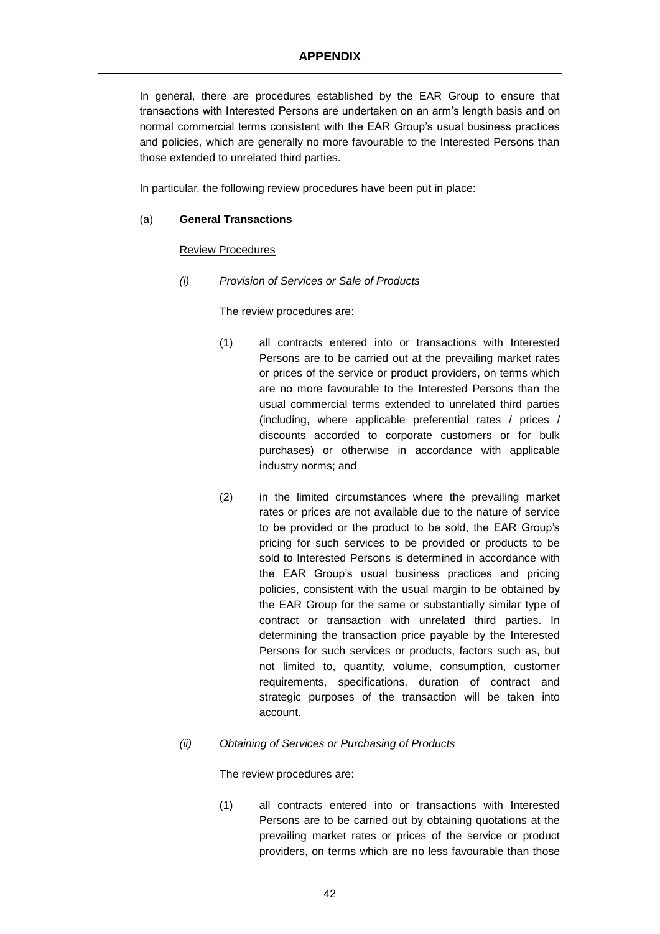In general, there are procedures established by the EAR Group to ensure that transactions with Interested Persons are undertaken on an arm's length basis and on normal commercial terms consistent with the EAR Group's usual business practices and policies, which are generally no more favourable to the Interested Persons than those extended to unrelated third parties.

In particular, the following review procedures have been put in place:

## (a) **General Transactions**

## Review Procedures

*(i) Provision of Services or Sale of Products*

The review procedures are:

- (1) all contracts entered into or transactions with Interested Persons are to be carried out at the prevailing market rates or prices of the service or product providers, on terms which are no more favourable to the Interested Persons than the usual commercial terms extended to unrelated third parties (including, where applicable preferential rates / prices / discounts accorded to corporate customers or for bulk purchases) or otherwise in accordance with applicable industry norms; and
- (2) in the limited circumstances where the prevailing market rates or prices are not available due to the nature of service to be provided or the product to be sold, the EAR Group's pricing for such services to be provided or products to be sold to Interested Persons is determined in accordance with the EAR Group's usual business practices and pricing policies, consistent with the usual margin to be obtained by the EAR Group for the same or substantially similar type of contract or transaction with unrelated third parties. In determining the transaction price payable by the Interested Persons for such services or products, factors such as, but not limited to, quantity, volume, consumption, customer requirements, specifications, duration of contract and strategic purposes of the transaction will be taken into account.
- *(ii) Obtaining of Services or Purchasing of Products*

The review procedures are:

(1) all contracts entered into or transactions with Interested Persons are to be carried out by obtaining quotations at the prevailing market rates or prices of the service or product providers, on terms which are no less favourable than those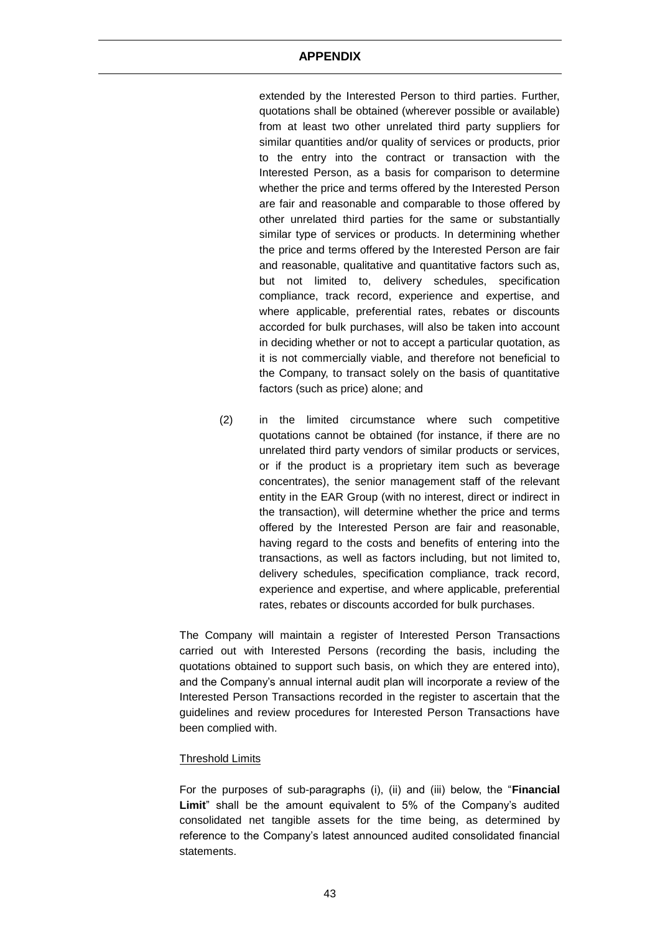extended by the Interested Person to third parties. Further, quotations shall be obtained (wherever possible or available) from at least two other unrelated third party suppliers for similar quantities and/or quality of services or products, prior to the entry into the contract or transaction with the Interested Person, as a basis for comparison to determine whether the price and terms offered by the Interested Person are fair and reasonable and comparable to those offered by other unrelated third parties for the same or substantially similar type of services or products. In determining whether the price and terms offered by the Interested Person are fair and reasonable, qualitative and quantitative factors such as, but not limited to, delivery schedules, specification compliance, track record, experience and expertise, and where applicable, preferential rates, rebates or discounts accorded for bulk purchases, will also be taken into account in deciding whether or not to accept a particular quotation, as it is not commercially viable, and therefore not beneficial to the Company, to transact solely on the basis of quantitative factors (such as price) alone; and

(2) in the limited circumstance where such competitive quotations cannot be obtained (for instance, if there are no unrelated third party vendors of similar products or services, or if the product is a proprietary item such as beverage concentrates), the senior management staff of the relevant entity in the EAR Group (with no interest, direct or indirect in the transaction), will determine whether the price and terms offered by the Interested Person are fair and reasonable, having regard to the costs and benefits of entering into the transactions, as well as factors including, but not limited to, delivery schedules, specification compliance, track record, experience and expertise, and where applicable, preferential rates, rebates or discounts accorded for bulk purchases.

The Company will maintain a register of Interested Person Transactions carried out with Interested Persons (recording the basis, including the quotations obtained to support such basis, on which they are entered into), and the Company's annual internal audit plan will incorporate a review of the Interested Person Transactions recorded in the register to ascertain that the guidelines and review procedures for Interested Person Transactions have been complied with.

#### Threshold Limits

For the purposes of sub-paragraphs (i), (ii) and (iii) below, the "**Financial Limit**" shall be the amount equivalent to 5% of the Company's audited consolidated net tangible assets for the time being, as determined by reference to the Company's latest announced audited consolidated financial statements.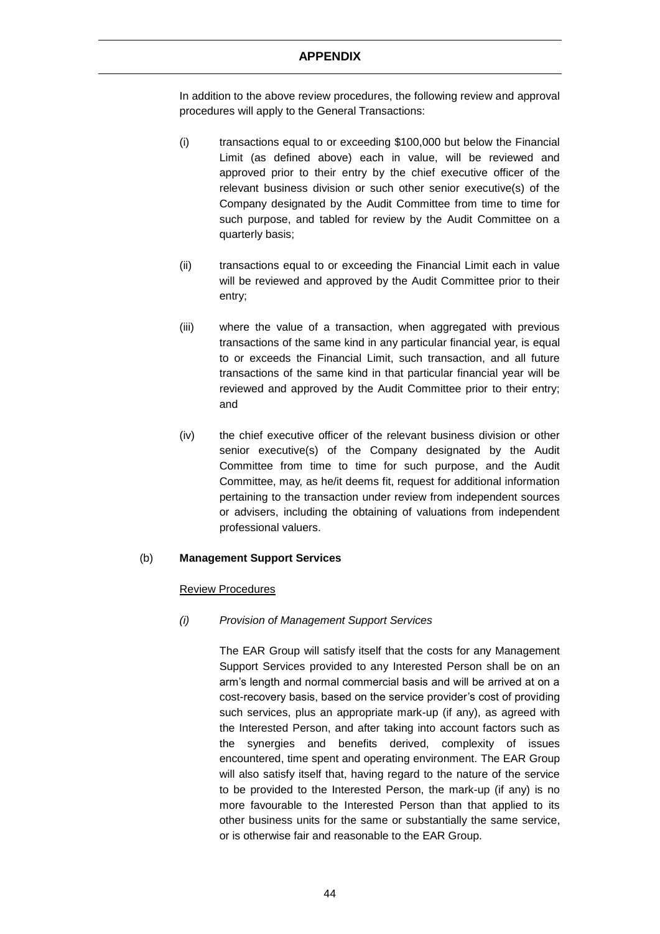In addition to the above review procedures, the following review and approval procedures will apply to the General Transactions:

- (i) transactions equal to or exceeding \$100,000 but below the Financial Limit (as defined above) each in value, will be reviewed and approved prior to their entry by the chief executive officer of the relevant business division or such other senior executive(s) of the Company designated by the Audit Committee from time to time for such purpose, and tabled for review by the Audit Committee on a quarterly basis;
- (ii) transactions equal to or exceeding the Financial Limit each in value will be reviewed and approved by the Audit Committee prior to their entry;
- (iii) where the value of a transaction, when aggregated with previous transactions of the same kind in any particular financial year, is equal to or exceeds the Financial Limit, such transaction, and all future transactions of the same kind in that particular financial year will be reviewed and approved by the Audit Committee prior to their entry; and
- (iv) the chief executive officer of the relevant business division or other senior executive(s) of the Company designated by the Audit Committee from time to time for such purpose, and the Audit Committee, may, as he/it deems fit, request for additional information pertaining to the transaction under review from independent sources or advisers, including the obtaining of valuations from independent professional valuers.

# (b) **Management Support Services**

#### Review Procedures

# *(i) Provision of Management Support Services*

The EAR Group will satisfy itself that the costs for any Management Support Services provided to any Interested Person shall be on an arm's length and normal commercial basis and will be arrived at on a cost-recovery basis, based on the service provider's cost of providing such services, plus an appropriate mark-up (if any), as agreed with the Interested Person, and after taking into account factors such as the synergies and benefits derived, complexity of issues encountered, time spent and operating environment. The EAR Group will also satisfy itself that, having regard to the nature of the service to be provided to the Interested Person, the mark-up (if any) is no more favourable to the Interested Person than that applied to its other business units for the same or substantially the same service, or is otherwise fair and reasonable to the EAR Group.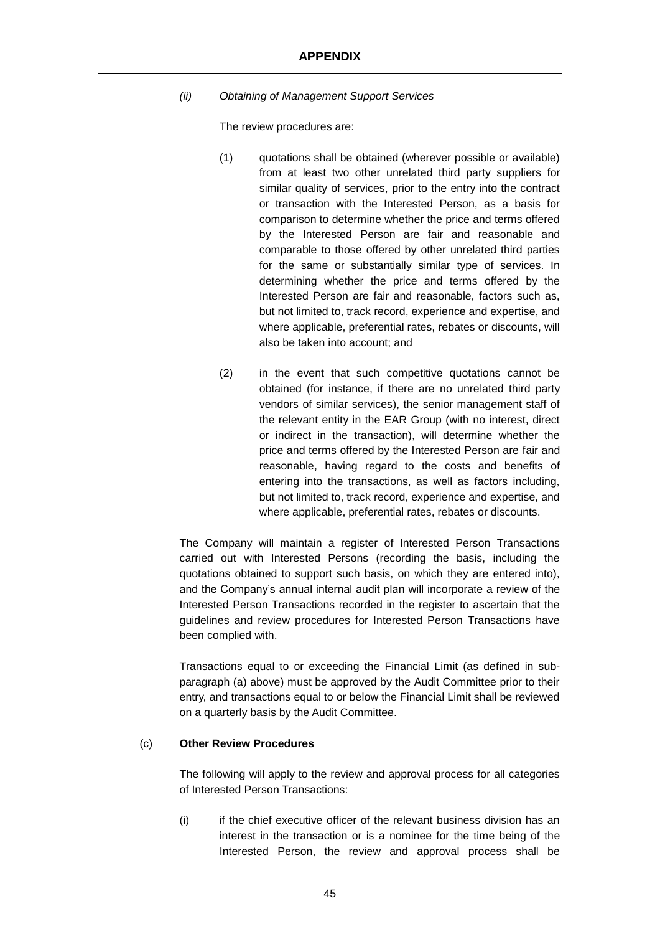*(ii) Obtaining of Management Support Services*

The review procedures are:

- (1) quotations shall be obtained (wherever possible or available) from at least two other unrelated third party suppliers for similar quality of services, prior to the entry into the contract or transaction with the Interested Person, as a basis for comparison to determine whether the price and terms offered by the Interested Person are fair and reasonable and comparable to those offered by other unrelated third parties for the same or substantially similar type of services. In determining whether the price and terms offered by the Interested Person are fair and reasonable, factors such as, but not limited to, track record, experience and expertise, and where applicable, preferential rates, rebates or discounts, will also be taken into account; and
- (2) in the event that such competitive quotations cannot be obtained (for instance, if there are no unrelated third party vendors of similar services), the senior management staff of the relevant entity in the EAR Group (with no interest, direct or indirect in the transaction), will determine whether the price and terms offered by the Interested Person are fair and reasonable, having regard to the costs and benefits of entering into the transactions, as well as factors including, but not limited to, track record, experience and expertise, and where applicable, preferential rates, rebates or discounts.

The Company will maintain a register of Interested Person Transactions carried out with Interested Persons (recording the basis, including the quotations obtained to support such basis, on which they are entered into), and the Company's annual internal audit plan will incorporate a review of the Interested Person Transactions recorded in the register to ascertain that the guidelines and review procedures for Interested Person Transactions have been complied with.

Transactions equal to or exceeding the Financial Limit (as defined in subparagraph (a) above) must be approved by the Audit Committee prior to their entry, and transactions equal to or below the Financial Limit shall be reviewed on a quarterly basis by the Audit Committee.

#### (c) **Other Review Procedures**

The following will apply to the review and approval process for all categories of Interested Person Transactions:

(i) if the chief executive officer of the relevant business division has an interest in the transaction or is a nominee for the time being of the Interested Person, the review and approval process shall be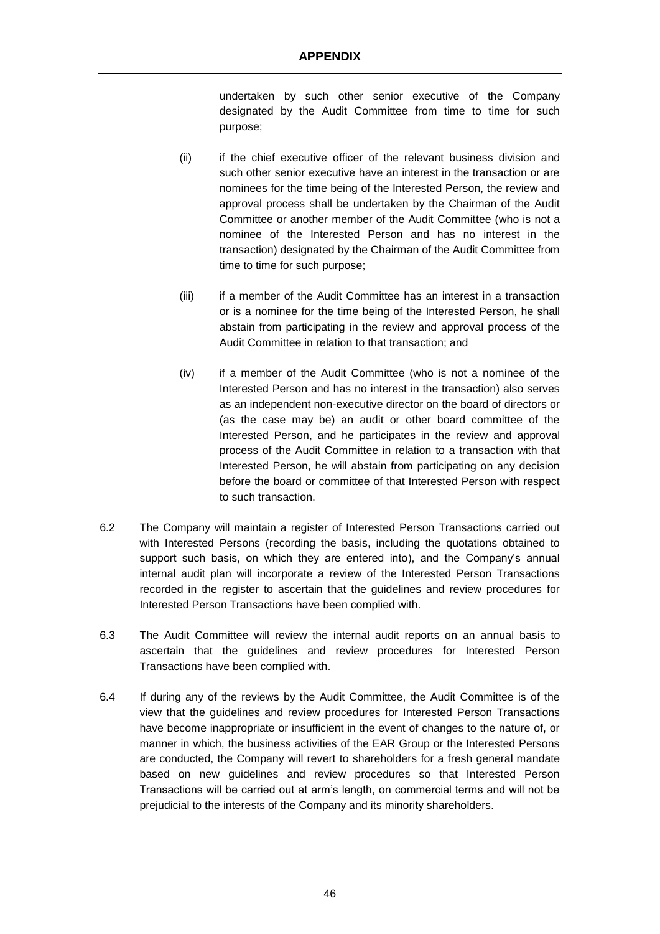undertaken by such other senior executive of the Company designated by the Audit Committee from time to time for such purpose;

- (ii) if the chief executive officer of the relevant business division and such other senior executive have an interest in the transaction or are nominees for the time being of the Interested Person, the review and approval process shall be undertaken by the Chairman of the Audit Committee or another member of the Audit Committee (who is not a nominee of the Interested Person and has no interest in the transaction) designated by the Chairman of the Audit Committee from time to time for such purpose;
- (iii) if a member of the Audit Committee has an interest in a transaction or is a nominee for the time being of the Interested Person, he shall abstain from participating in the review and approval process of the Audit Committee in relation to that transaction; and
- (iv) if a member of the Audit Committee (who is not a nominee of the Interested Person and has no interest in the transaction) also serves as an independent non-executive director on the board of directors or (as the case may be) an audit or other board committee of the Interested Person, and he participates in the review and approval process of the Audit Committee in relation to a transaction with that Interested Person, he will abstain from participating on any decision before the board or committee of that Interested Person with respect to such transaction.
- 6.2 The Company will maintain a register of Interested Person Transactions carried out with Interested Persons (recording the basis, including the quotations obtained to support such basis, on which they are entered into), and the Company's annual internal audit plan will incorporate a review of the Interested Person Transactions recorded in the register to ascertain that the guidelines and review procedures for Interested Person Transactions have been complied with.
- 6.3 The Audit Committee will review the internal audit reports on an annual basis to ascertain that the guidelines and review procedures for Interested Person Transactions have been complied with.
- 6.4 If during any of the reviews by the Audit Committee, the Audit Committee is of the view that the guidelines and review procedures for Interested Person Transactions have become inappropriate or insufficient in the event of changes to the nature of, or manner in which, the business activities of the EAR Group or the Interested Persons are conducted, the Company will revert to shareholders for a fresh general mandate based on new guidelines and review procedures so that Interested Person Transactions will be carried out at arm's length, on commercial terms and will not be prejudicial to the interests of the Company and its minority shareholders.